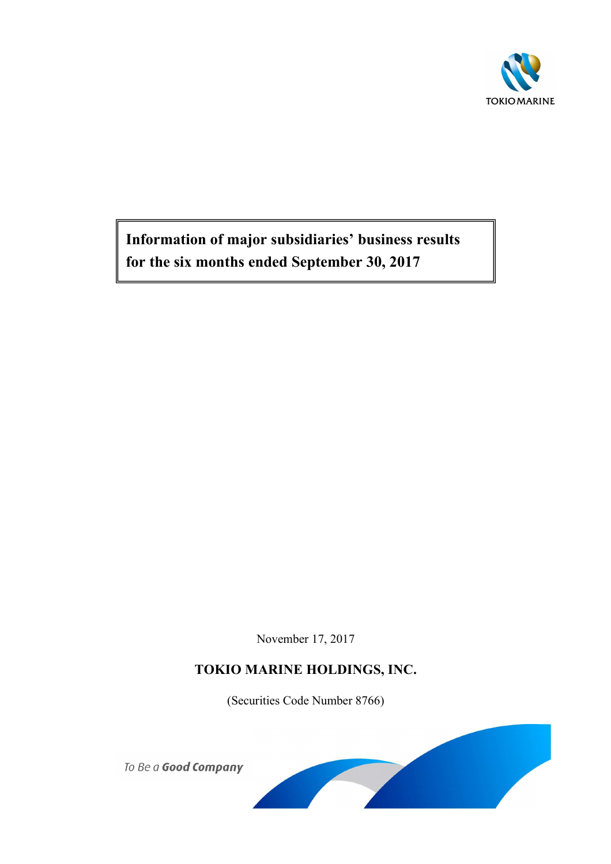

**Information of major subsidiaries' business results for the six months ended September 30, 2017**

November 17, 2017

# **TOKIO MARINE HOLDINGS, INC.**

(Securities Code Number 8766)



To Be a Good Company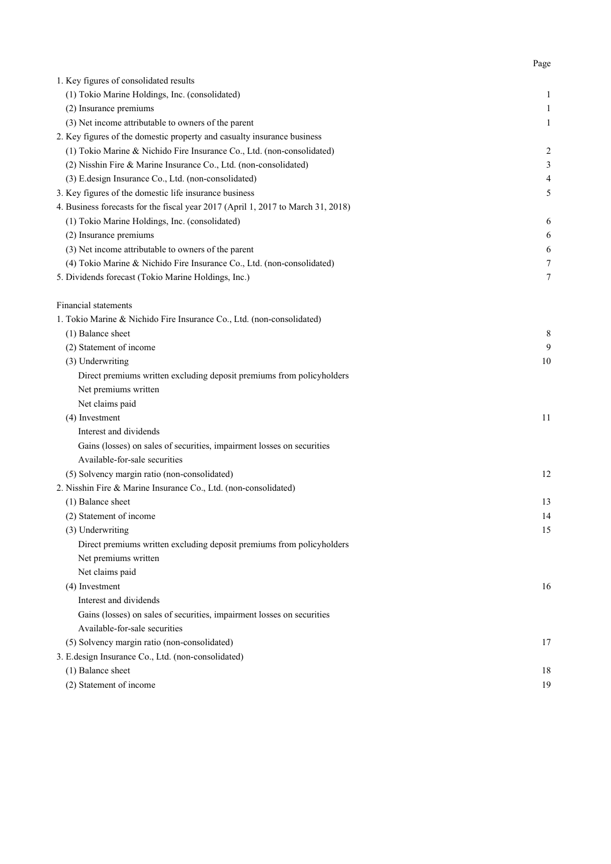| 1. Key figures of consolidated results                                           |                         |
|----------------------------------------------------------------------------------|-------------------------|
| (1) Tokio Marine Holdings, Inc. (consolidated)                                   | 1                       |
| (2) Insurance premiums                                                           | 1                       |
| (3) Net income attributable to owners of the parent                              | 1                       |
| 2. Key figures of the domestic property and casualty insurance business          |                         |
| (1) Tokio Marine & Nichido Fire Insurance Co., Ltd. (non-consolidated)           | $\overline{\mathbf{c}}$ |
| (2) Nisshin Fire & Marine Insurance Co., Ltd. (non-consolidated)                 | 3                       |
| (3) E.design Insurance Co., Ltd. (non-consolidated)                              | 4                       |
| 3. Key figures of the domestic life insurance business                           | 5                       |
| 4. Business forecasts for the fiscal year 2017 (April 1, 2017 to March 31, 2018) |                         |
| (1) Tokio Marine Holdings, Inc. (consolidated)                                   | 6                       |
| (2) Insurance premiums                                                           | 6                       |
| (3) Net income attributable to owners of the parent                              | 6                       |
| (4) Tokio Marine & Nichido Fire Insurance Co., Ltd. (non-consolidated)           | 7                       |
| 5. Dividends forecast (Tokio Marine Holdings, Inc.)                              | 7                       |
|                                                                                  |                         |
| Financial statements                                                             |                         |
| 1. Tokio Marine & Nichido Fire Insurance Co., Ltd. (non-consolidated)            |                         |
| (1) Balance sheet                                                                | 8                       |
| (2) Statement of income                                                          | 9                       |
| (3) Underwriting                                                                 | 10                      |
| Direct premiums written excluding deposit premiums from policyholders            |                         |
| Net premiums written                                                             |                         |
| Net claims paid                                                                  |                         |
| (4) Investment                                                                   | 11                      |
| Interest and dividends                                                           |                         |
| Gains (losses) on sales of securities, impairment losses on securities           |                         |
| Available-for-sale securities                                                    |                         |
| (5) Solvency margin ratio (non-consolidated)                                     | 12                      |
| 2. Nisshin Fire & Marine Insurance Co., Ltd. (non-consolidated)                  |                         |
| (1) Balance sheet                                                                | 13                      |
| (2) Statement of income                                                          | 14                      |
| (3) Underwriting                                                                 | 15                      |
| Direct premiums written excluding deposit premiums from policyholders            |                         |
| Net premiums written                                                             |                         |
| Net claims paid                                                                  |                         |
| (4) Investment                                                                   | 16                      |
| Interest and dividends                                                           |                         |
| Gains (losses) on sales of securities, impairment losses on securities           |                         |
| Available-for-sale securities                                                    |                         |
| (5) Solvency margin ratio (non-consolidated)                                     | 17                      |
| 3. E.design Insurance Co., Ltd. (non-consolidated)                               |                         |
| (1) Balance sheet                                                                | 18                      |
| (2) Statement of income                                                          | 19                      |
|                                                                                  |                         |

Page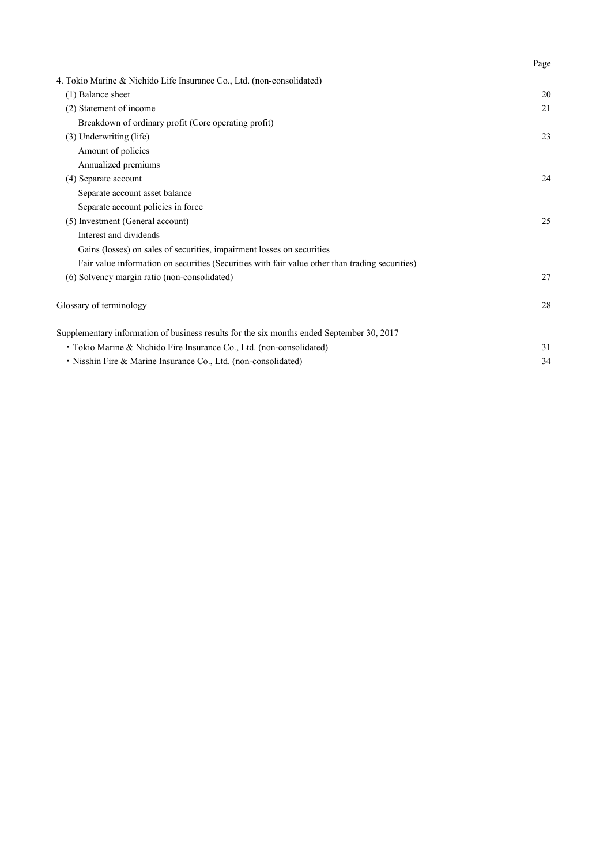| 4. Tokio Marine & Nichido Life Insurance Co., Ltd. (non-consolidated)                           |    |
|-------------------------------------------------------------------------------------------------|----|
| (1) Balance sheet                                                                               | 20 |
| (2) Statement of income                                                                         | 21 |
| Breakdown of ordinary profit (Core operating profit)                                            |    |
| (3) Underwriting (life)                                                                         | 23 |
| Amount of policies                                                                              |    |
| Annualized premiums                                                                             |    |
| (4) Separate account                                                                            | 24 |
| Separate account asset balance                                                                  |    |
| Separate account policies in force                                                              |    |
| (5) Investment (General account)                                                                | 25 |
| Interest and dividends                                                                          |    |
| Gains (losses) on sales of securities, impairment losses on securities                          |    |
| Fair value information on securities (Securities with fair value other than trading securities) |    |
| (6) Solvency margin ratio (non-consolidated)                                                    | 27 |
| Glossary of terminology                                                                         | 28 |
| Supplementary information of business results for the six months ended September 30, 2017       |    |
| • Tokio Marine & Nichido Fire Insurance Co., Ltd. (non-consolidated)                            | 31 |
| • Nisshin Fire & Marine Insurance Co., Ltd. (non-consolidated)                                  | 34 |

Page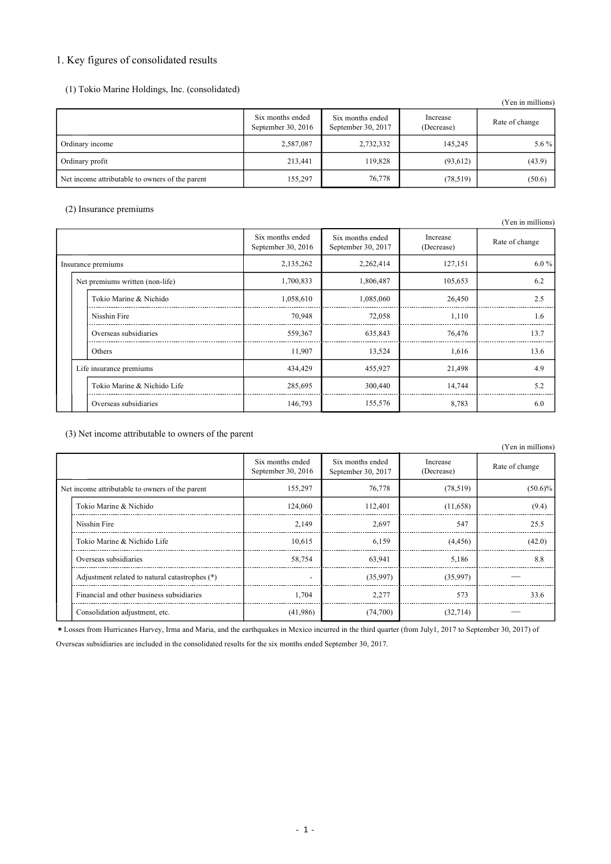# 1. Key figures of consolidated results

| (1) Tokio Marine Holdings, Inc. (consolidated) |  |  |
|------------------------------------------------|--|--|
|                                                |  |  |

|                                                 |                                          |                                        |                        | (Yen in millions) |
|-------------------------------------------------|------------------------------------------|----------------------------------------|------------------------|-------------------|
|                                                 | Six months ended<br>September 30, $2016$ | Six months ended<br>September 30, 2017 | Increase<br>(Decrease) | Rate of change    |
| Ordinary income                                 | 2,587,087                                | 2,732,332                              | 145,245                | 5.6 $%$           |
| Ordinary profit                                 | 213,441                                  | 119,828                                | (93, 612)              | (43.9)            |
| Net income attributable to owners of the parent | 155,297                                  | 76,778                                 | (78,519)               | (50.6)            |

# (2) Insurance premiums

|  |                                 |                                        |                                        |                        | (Yen in millions) |
|--|---------------------------------|----------------------------------------|----------------------------------------|------------------------|-------------------|
|  |                                 | Six months ended<br>September 30, 2016 | Six months ended<br>September 30, 2017 | Increase<br>(Decrease) | Rate of change    |
|  | Insurance premiums              | 2,135,262                              | 2,262,414                              | 127,151                | $6.0\%$           |
|  | Net premiums written (non-life) | 1,700,833                              | 1,806,487                              | 105,653                | 6.2               |
|  | Tokio Marine & Nichido          | 1,058,610                              | 1,085,060                              | 26,450                 | 2.5               |
|  | Nisshin Fire                    | 70,948                                 | 72,058                                 | 1,110                  | 1.6               |
|  | Overseas subsidiaries           | 559,367                                | 635,843                                | 76,476                 | 13.7              |
|  | Others                          | 11,907                                 | 13,524                                 | 1,616                  | 13.6              |
|  | Life insurance premiums         | 434,429                                | 455,927                                | 21,498                 | 4.9               |
|  | Tokio Marine & Nichido Life     | 285,695                                | 300,440                                | 14,744                 | 5.2               |
|  | Overseas subsidiaries           | 146,793                                | 155,576                                | 8,783                  | 6.0               |

(3) Net income attributable to owners of the parent

|                                                 |                                        |                                        |                        | (Yen in millions) |
|-------------------------------------------------|----------------------------------------|----------------------------------------|------------------------|-------------------|
|                                                 | Six months ended<br>September 30, 2016 | Six months ended<br>September 30, 2017 | Increase<br>(Decrease) | Rate of change    |
| Net income attributable to owners of the parent | 155,297                                | 76,778                                 | (78, 519)              | $(50.6)\%$        |
| Tokio Marine & Nichido                          | 124,060                                | 112,401                                | (11,658)               | (9.4)             |
| Nisshin Fire                                    | 2.149                                  | 2,697                                  | 547                    | 25.5              |
| Tokio Marine & Nichido Life                     | 10.615                                 | 6,159                                  | (4,456)                | (42.0)            |
| Overseas subsidiaries                           | 58,754                                 | 63,941                                 | 5.186                  | 8.8               |
| Adjustment related to natural catastrophes (*)  | $\overline{a}$                         | (35,997)                               | (35,997)               |                   |
| Financial and other business subsidiaries       | 1.704                                  | 2,277                                  | 573                    | 33.6              |
| Consolidation adjustment, etc.                  | (41,986)                               | (74,700)                               | (32,714)               |                   |

\*Losses from Hurricanes Harvey, Irma and Maria, and the earthquakes in Mexico incurred in the third quarter (from July1, 2017 to September 30, 2017) of

Overseas subsidiaries are included in the consolidated results for the six months ended September 30, 2017.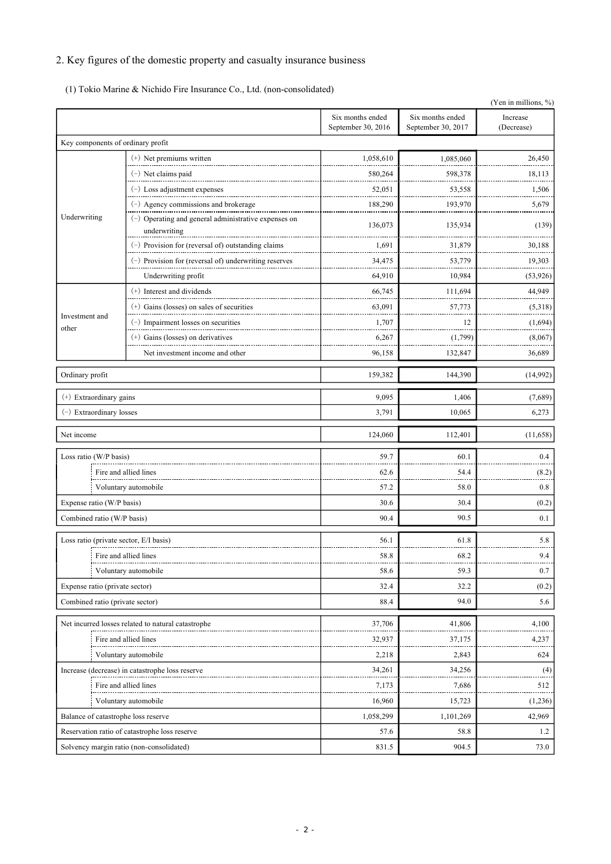# 2. Key figures of the domestic property and casualty insurance business

(1) Tokio Marine & Nichido Fire Insurance Co., Ltd. (non-consolidated)

|                                        |                                                                        |                                        |                                        | (Yen in millions, %)   |
|----------------------------------------|------------------------------------------------------------------------|----------------------------------------|----------------------------------------|------------------------|
|                                        |                                                                        | Six months ended<br>September 30, 2016 | Six months ended<br>September 30, 2017 | Increase<br>(Decrease) |
| Key components of ordinary profit      |                                                                        |                                        |                                        |                        |
|                                        | (+) Net premiums written                                               | 1,058,610                              | 1,085,060                              | 26,450                 |
|                                        | $(-)$ Net claims paid                                                  | 580,264                                | 598,378                                | 18,113                 |
|                                        | $(-)$ Loss adjustment expenses                                         | 52,051                                 | 53,558                                 | 1,506                  |
|                                        | $(-)$ Agency commissions and brokerage                                 | 188,290                                | 193,970                                | 5,679                  |
| Underwriting                           | $(-)$ Operating and general administrative expenses on<br>underwriting | 136,073                                | 135,934                                | (139)                  |
|                                        | (-) Provision for (reversal of) outstanding claims                     | 1,691                                  | 31,879                                 | 30,188                 |
|                                        | $(-)$ Provision for (reversal of) underwriting reserves                | 34,475                                 | 53,779                                 | 19,303                 |
|                                        | Underwriting profit                                                    | 64,910                                 | 10,984                                 | (53, 926)              |
|                                        | (+) Interest and dividends                                             | 66,745                                 | 111,694                                | 44,949                 |
|                                        | $(+)$ Gains (losses) on sales of securities                            | 63,091                                 | 57,773                                 | (5,318)                |
| Investment and                         | $(-)$ Impairment losses on securities                                  | 1,707                                  | 12                                     | (1,694)                |
| other                                  | $(+)$ Gains (losses) on derivatives                                    | 6,267                                  | (1,799)                                | (8,067)                |
|                                        | Net investment income and other                                        | 96,158                                 | 132,847                                | 36,689                 |
| Ordinary profit                        |                                                                        | 159,382                                | 144,390                                | (14,992)               |
| (+) Extraordinary gains                |                                                                        | 9,095                                  | 1,406                                  | (7,689)                |
| $(-)$ Extraordinary losses             |                                                                        | 3,791                                  | 10,065                                 | 6,273                  |
| Net income                             |                                                                        | 124,060                                | 112,401                                | (11,658)               |
| Loss ratio (W/P basis)                 |                                                                        | 59.7                                   | 60.1                                   | 0.4                    |
|                                        | Fire and allied lines<br>--------------                                | 62.6                                   | 54.4                                   | (8.2)                  |
| Voluntary automobile                   |                                                                        | 57.2                                   | 58.0                                   | 0.8                    |
| Expense ratio (W/P basis)              |                                                                        | 30.6                                   | 30.4                                   | (0.2)                  |
| Combined ratio (W/P basis)             |                                                                        | 90.4                                   | 90.5                                   | 0.1                    |
| Loss ratio (private sector, E/I basis) |                                                                        | 56.1                                   | 61.8                                   | 5.8                    |
|                                        | Fire and allied lines                                                  | 58.8                                   | 68.2                                   | 9.4                    |
|                                        | Voluntary automobile                                                   | 58.6                                   | 59.3                                   | 0.7                    |
| Expense ratio (private sector)         |                                                                        | 32.4                                   | 32.2                                   | (0.2)                  |
| Combined ratio (private sector)        |                                                                        | 88.4                                   | 94.0                                   | 5.6                    |
|                                        | Net incurred losses related to natural catastrophe                     | 37,706                                 | 41,806                                 | 4,100                  |
|                                        | Fire and allied lines                                                  | 32,937                                 | 37,175                                 | 4,237                  |
|                                        | Voluntary automobile                                                   | 2,218                                  | 2,843                                  | 624                    |
|                                        | Increase (decrease) in catastrophe loss reserve                        | 34,261                                 | 34,256                                 | (4)                    |
|                                        | Fire and allied lines                                                  | 7,173                                  | 7,686                                  | 512                    |
|                                        | Voluntary automobile                                                   | 16,960                                 | 15,723                                 | (1,236)                |
| Balance of catastrophe loss reserve    |                                                                        | 1,058,299                              | 1,101,269                              | 42,969                 |
|                                        | Reservation ratio of catastrophe loss reserve                          | 57.6                                   | 58.8                                   | 1.2                    |
|                                        | Solvency margin ratio (non-consolidated)                               | 831.5                                  | 904.5                                  | 73.0                   |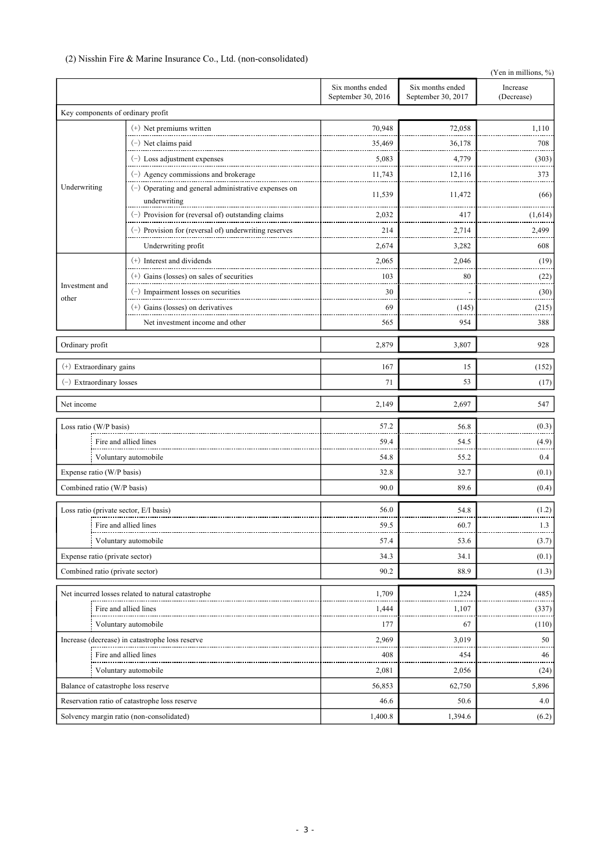# (2) Nisshin Fire & Marine Insurance Co., Ltd. (non-consolidated)

|                                        |                                                                        |                                        |                                        | (Yen in millions, %)   |
|----------------------------------------|------------------------------------------------------------------------|----------------------------------------|----------------------------------------|------------------------|
|                                        |                                                                        | Six months ended<br>September 30, 2016 | Six months ended<br>September 30, 2017 | Increase<br>(Decrease) |
| Key components of ordinary profit      |                                                                        |                                        |                                        |                        |
|                                        | $(+)$ Net premiums written                                             | 70,948                                 | 72,058                                 | 1,110                  |
|                                        | (-) Net claims paid                                                    | 35,469                                 | 36,178                                 | 708                    |
|                                        | $(-)$ Loss adjustment expenses                                         | 5,083                                  | 4,779                                  | (303)                  |
|                                        | (-) Agency commissions and brokerage                                   | 11,743                                 | 12,116                                 | 373                    |
| Underwriting                           | $(-)$ Operating and general administrative expenses on<br>underwriting | 11,539                                 | 11,472                                 | (66)                   |
|                                        | (-) Provision for (reversal of) outstanding claims                     | 2,032                                  | 417                                    | (1,614)                |
|                                        | $(-)$ Provision for (reversal of) underwriting reserves                | 214                                    | 2,714                                  | 2,499                  |
|                                        | Underwriting profit                                                    | 2,674                                  | 3,282                                  | 608                    |
|                                        | (+) Interest and dividends                                             | 2,065                                  | 2,046                                  | (19)                   |
|                                        | $(+)$ Gains (losses) on sales of securities                            | 103                                    | 80                                     | (22)                   |
| Investment and                         | $(-)$ Impairment losses on securities                                  | 30                                     |                                        | (30)                   |
| other                                  | $(+)$ Gains (losses) on derivatives                                    | 69                                     | (145)                                  | (215)                  |
|                                        | Net investment income and other                                        | 565                                    | 954                                    | 388                    |
| Ordinary profit                        |                                                                        | 2,879                                  | 3,807                                  | 928                    |
|                                        |                                                                        |                                        |                                        |                        |
| (+) Extraordinary gains                |                                                                        | 167<br>71                              | 15<br>53                               | (152)                  |
| $(-)$ Extraordinary losses             |                                                                        |                                        |                                        | (17)                   |
| Net income                             |                                                                        | 2,149                                  | 2,697                                  | 547                    |
| Loss ratio (W/P basis)                 |                                                                        | 57.2                                   | 56.8                                   | (0.3)                  |
|                                        | Fire and allied lines                                                  | 59.4                                   | 54.5                                   | (4.9)                  |
|                                        | Voluntary automobile                                                   | 54.8                                   | 55.2                                   | 0.4                    |
| Expense ratio (W/P basis)              |                                                                        | 32.8                                   | 32.7                                   | (0.1)                  |
| Combined ratio (W/P basis)             |                                                                        | 90.0                                   | 89.6                                   | (0.4)                  |
| Loss ratio (private sector, E/I basis) |                                                                        | 56.0                                   | 54.8                                   | (1.2)                  |
|                                        | Fire and allied lines                                                  | 59.5                                   | 60.7                                   | 1.3                    |
|                                        | Voluntary automobile                                                   | 57.4                                   | 53.6                                   | (3.7)                  |
| Expense ratio (private sector)         |                                                                        | 34.3                                   | 34.1                                   | (0.1)                  |
| Combined ratio (private sector)        |                                                                        | 90.2                                   | 88.9                                   | (1.3)                  |
|                                        | Net incurred losses related to natural catastrophe                     | 1,709                                  | 1,224                                  | (485)                  |
|                                        | Fire and allied lines                                                  | 1,444                                  | 1,107                                  | (337)                  |
|                                        | Voluntary automobile                                                   | 177                                    | 67                                     | (110)                  |
|                                        | Increase (decrease) in catastrophe loss reserve                        | 2,969                                  | 3,019                                  | 50                     |
|                                        | Fire and allied lines                                                  | 408                                    | 454                                    | 46                     |
|                                        | Voluntary automobile                                                   | 2,081                                  | 2,056                                  | (24)                   |
| Balance of catastrophe loss reserve    |                                                                        | 56,853                                 | 62,750                                 | 5,896                  |
|                                        | Reservation ratio of catastrophe loss reserve                          | 46.6                                   | 50.6                                   | 4.0                    |
|                                        | Solvency margin ratio (non-consolidated)                               | 1,400.8                                | 1,394.6                                | (6.2)                  |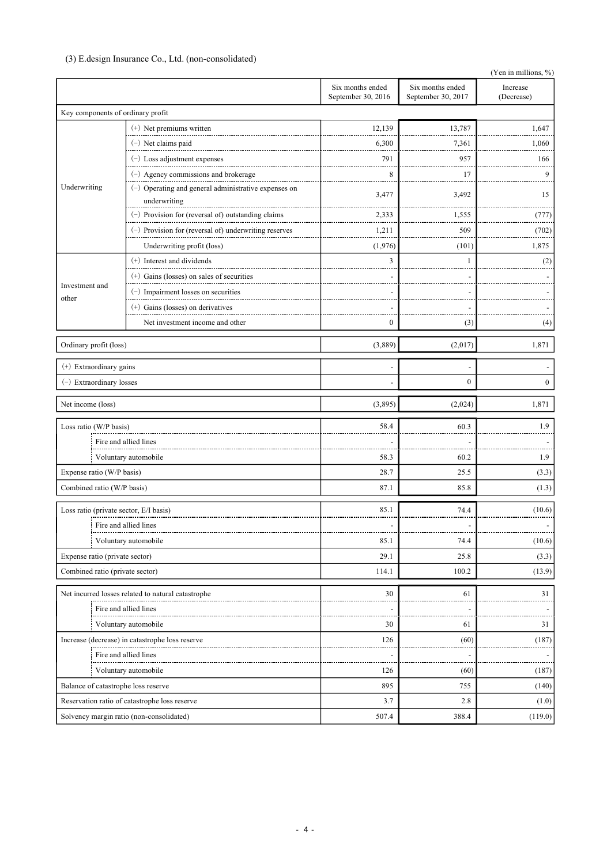# (3) E.design Insurance Co., Ltd. (non-consolidated)

|                                        |                                                                      |                                        |                                        | (Yen in millions, %)   |
|----------------------------------------|----------------------------------------------------------------------|----------------------------------------|----------------------------------------|------------------------|
|                                        |                                                                      | Six months ended<br>September 30, 2016 | Six months ended<br>September 30, 2017 | Increase<br>(Decrease) |
| Key components of ordinary profit      |                                                                      |                                        |                                        |                        |
|                                        | $(+)$ Net premiums written                                           | 12,139                                 | 13,787                                 | 1,647                  |
|                                        | $(-)$ Net claims paid                                                | 6,300                                  | 7,361                                  | 1,060                  |
|                                        | $(-)$ Loss adjustment expenses                                       | 791                                    | 957                                    | 166                    |
|                                        | $(-)$ Agency commissions and brokerage                               | 8                                      | 17                                     | 9                      |
| Underwriting                           | (-) Operating and general administrative expenses on<br>underwriting | 3,477                                  | 3,492                                  | 15                     |
|                                        | (-) Provision for (reversal of) outstanding claims                   | 2,333                                  | 1,555                                  | (777)                  |
|                                        | $(-)$ Provision for (reversal of) underwriting reserves              | 1,211                                  | 509                                    | (702)                  |
|                                        | Underwriting profit (loss)                                           | (1,976)                                | (101)                                  | 1,875                  |
|                                        | (+) Interest and dividends                                           | 3                                      | $\mathbf{1}$                           | (2)                    |
|                                        | $(+)$ Gains (losses) on sales of securities                          |                                        |                                        |                        |
| Investment and                         | $(-)$ Impairment losses on securities                                |                                        |                                        |                        |
| other                                  | $(+)$ Gains (losses) on derivatives                                  |                                        |                                        |                        |
|                                        | Net investment income and other                                      | $\boldsymbol{0}$                       | (3)                                    | (4)                    |
| Ordinary profit (loss)                 |                                                                      | (3,889)                                | (2,017)                                | 1,871                  |
| (+) Extraordinary gains                |                                                                      |                                        |                                        |                        |
| (-) Extraordinary losses               |                                                                      |                                        | $\overline{0}$                         | $\overline{0}$         |
| Net income (loss)                      |                                                                      | (3,895)                                | (2,024)                                | 1,871                  |
| Loss ratio (W/P basis)                 |                                                                      | 58.4                                   | 60.3                                   | 1.9                    |
|                                        | Fire and allied lines                                                |                                        |                                        |                        |
|                                        | Voluntary automobile                                                 | 58.3                                   | 60.2                                   | 1.9                    |
| Expense ratio (W/P basis)              |                                                                      | 28.7                                   | 25.5                                   | (3.3)                  |
| Combined ratio (W/P basis)             |                                                                      | 87.1                                   | 85.8                                   | (1.3)                  |
| Loss ratio (private sector, E/I basis) |                                                                      | 85.1                                   | 74.4                                   | (10.6)                 |
|                                        | Fire and allied lines                                                |                                        |                                        |                        |
|                                        | Voluntary automobile                                                 | 85.1                                   | 74.4                                   | (10.6)                 |
| Expense ratio (private sector)         |                                                                      | 29.1                                   | 25.8                                   | (3.3)                  |
| Combined ratio (private sector)        |                                                                      | 114.1                                  | 100.2                                  | (13.9)                 |
|                                        | Net incurred losses related to natural catastrophe                   | 30                                     | 61                                     | 31                     |
|                                        | Fire and allied lines                                                |                                        |                                        |                        |
|                                        | Voluntary automobile                                                 | 30                                     | 61                                     | 31                     |
|                                        | Increase (decrease) in catastrophe loss reserve                      | 126                                    | (60)                                   | (187)                  |
|                                        | Fire and allied lines                                                |                                        |                                        |                        |
|                                        | Voluntary automobile                                                 | 126                                    | (60)                                   | (187)                  |
| Balance of catastrophe loss reserve    |                                                                      | 895                                    | 755                                    | (140)                  |
|                                        | Reservation ratio of catastrophe loss reserve                        | 3.7                                    | 2.8                                    | (1.0)                  |
|                                        | Solvency margin ratio (non-consolidated)                             | 507.4                                  | 388.4                                  | (119.0)                |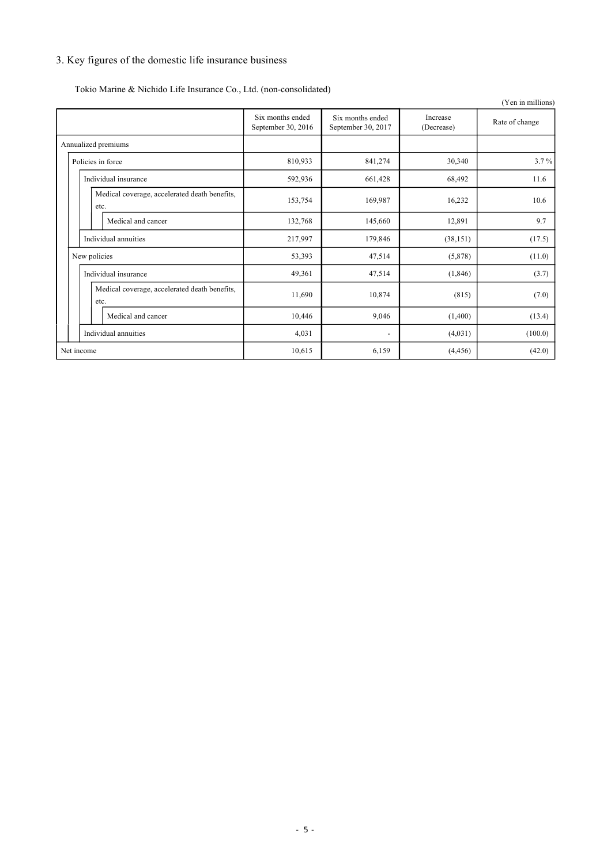# 3. Key figures of the domestic life insurance business

| Tokio Marine & Nichido Life Insurance Co., Ltd. (non-consolidated) |
|--------------------------------------------------------------------|
|--------------------------------------------------------------------|

|                                                       |                                        |                                        |                        | (Yen in millions) |
|-------------------------------------------------------|----------------------------------------|----------------------------------------|------------------------|-------------------|
|                                                       | Six months ended<br>September 30, 2016 | Six months ended<br>September 30, 2017 | Increase<br>(Decrease) | Rate of change    |
| Annualized premiums                                   |                                        |                                        |                        |                   |
| Policies in force                                     | 810,933                                | 841,274                                | 30,340                 | 3.7%              |
| Individual insurance                                  | 592,936                                | 661,428                                | 68,492                 | 11.6              |
| Medical coverage, accelerated death benefits,<br>etc. | 153,754                                | 169,987                                | 16,232                 | 10.6              |
| Medical and cancer                                    | 132,768                                | 145,660                                | 12,891                 | 9.7               |
| Individual annuities                                  | 217,997                                | 179,846                                | (38, 151)              | (17.5)            |
| New policies                                          | 53,393                                 | 47,514                                 | (5,878)                | (11.0)            |
| Individual insurance                                  | 49,361                                 | 47,514                                 | (1, 846)               | (3.7)             |
| Medical coverage, accelerated death benefits,<br>etc. | 11,690                                 | 10,874                                 | (815)                  | (7.0)             |
| Medical and cancer                                    | 10,446                                 | 9,046                                  | (1,400)                | (13.4)            |
| Individual annuities                                  | 4,031                                  | $\overline{\phantom{a}}$               | (4,031)                | (100.0)           |
| Net income                                            | 10,615                                 | 6,159                                  | (4, 456)               | (42.0)            |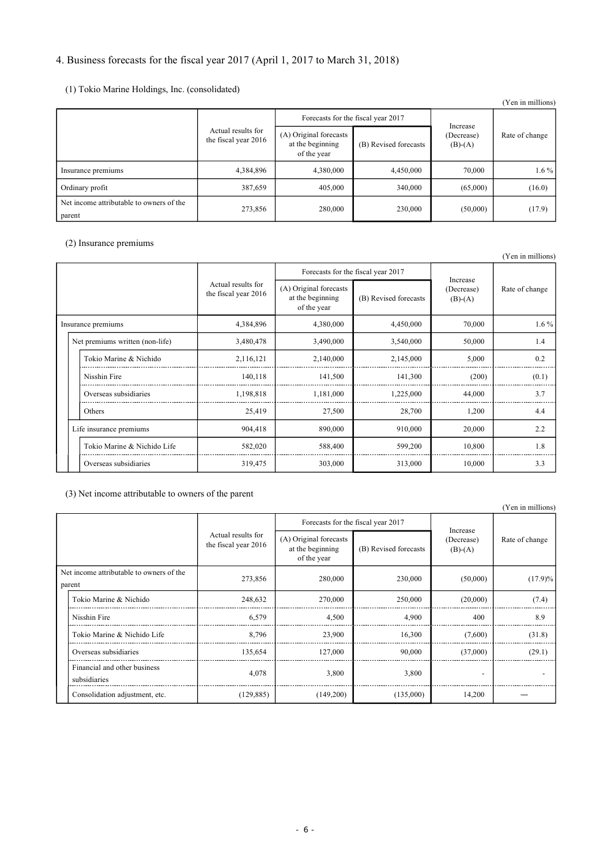# 4. Business forecasts for the fiscal year 2017 (April 1, 2017 to March 31, 2018)

# (1) Tokio Marine Holdings, Inc. (consolidated)

|                                                    |                                            |                                                           |                       |                         | (Yen in millions) |
|----------------------------------------------------|--------------------------------------------|-----------------------------------------------------------|-----------------------|-------------------------|-------------------|
|                                                    |                                            | Forecasts for the fiscal year 2017                        |                       | Increase                | Rate of change    |
|                                                    | Actual results for<br>the fiscal year 2016 | (A) Original forecasts<br>at the beginning<br>of the year | (B) Revised forecasts | (Decrease)<br>$(B)-(A)$ |                   |
| Insurance premiums                                 | 4,384,896                                  | 4,380,000                                                 | 4,450,000             | 70,000                  | $1.6\%$           |
| Ordinary profit                                    | 387,659                                    | 405,000                                                   | 340,000               | (65,000)                | (16.0)            |
| Net income attributable to owners of the<br>parent | 273,856                                    | 280,000                                                   | 230,000               | (50,000)                | (17.9)            |

# (2) Insurance premiums

|                    |                                 |                                                                                                         |                                    |                       |                                     | (Yen in millions) |
|--------------------|---------------------------------|---------------------------------------------------------------------------------------------------------|------------------------------------|-----------------------|-------------------------------------|-------------------|
|                    |                                 |                                                                                                         | Forecasts for the fiscal year 2017 |                       |                                     |                   |
|                    |                                 | Actual results for<br>(A) Original forecasts<br>the fiscal year 2016<br>at the beginning<br>of the year |                                    | (B) Revised forecasts | Increase<br>(Decrease)<br>$(B)-(A)$ |                   |
| Insurance premiums |                                 | 4,384,896                                                                                               | 4,380,000                          | 4,450,000             | 70,000                              | $1.6\%$           |
|                    | Net premiums written (non-life) | 3,480,478                                                                                               | 3,490,000                          | 3,540,000             | 50,000                              | 1.4               |
|                    | Tokio Marine & Nichido          | 2,116,121                                                                                               | 2,140,000                          | 2,145,000             | 5,000                               | 0.2               |
|                    | Nisshin Fire                    | 140,118                                                                                                 | 141,500                            | 141,300               | (200)                               | (0.1)             |
|                    | Overseas subsidiaries           | 1,198,818                                                                                               | 1,181,000                          | 1,225,000             | 44,000                              | 3.7               |
|                    | Others                          | 25,419                                                                                                  | 27,500                             | 28,700                | 1,200                               | 4.4               |
|                    | Life insurance premiums         | 904,418                                                                                                 | 890,000                            | 910,000               | 20,000                              | 2.2               |
|                    | Tokio Marine & Nichido Life     | 582,020                                                                                                 | 588,400                            | 599,200               | 10,800                              | 1.8               |
|                    | Overseas subsidiaries           | 319,475                                                                                                 | 303,000                            | 313,000               | 10,000                              | 3.3               |

(3) Net income attributable to owners of the parent

|                                                    |                                              |                                                                                                         |                                    |                       |                                     | (Yen in millions) |
|----------------------------------------------------|----------------------------------------------|---------------------------------------------------------------------------------------------------------|------------------------------------|-----------------------|-------------------------------------|-------------------|
|                                                    |                                              |                                                                                                         | Forecasts for the fiscal year 2017 |                       |                                     |                   |
|                                                    |                                              | Actual results for<br>(A) Original forecasts<br>the fiscal year 2016<br>at the beginning<br>of the year |                                    | (B) Revised forecasts | Increase<br>(Decrease)<br>$(B)-(A)$ | Rate of change    |
| Net income attributable to owners of the<br>parent |                                              | 273,856                                                                                                 | 280,000                            | 230,000               | (50,000)                            | (17.9)%           |
|                                                    | Tokio Marine & Nichido                       | 248,632                                                                                                 | 270,000                            | 250,000               | (20,000)                            | (7.4)             |
|                                                    | Nisshin Fire                                 | 6,579                                                                                                   | 4,500                              | 4,900                 | 400                                 | 8.9               |
|                                                    | Tokio Marine & Nichido Life                  | 8.796                                                                                                   | 23,900                             | 16,300                | (7,600)                             | (31.8)            |
|                                                    | Overseas subsidiaries                        | 135,654                                                                                                 | 127,000                            | 90,000                | (37,000)                            | (29.1)            |
|                                                    | Financial and other business<br>subsidiaries | 4,078                                                                                                   | 3,800                              | 3,800                 | $\overline{\phantom{0}}$            |                   |
|                                                    | Consolidation adjustment, etc.               | (129, 885)                                                                                              | (149,200)                          | (135,000)             | 14,200                              |                   |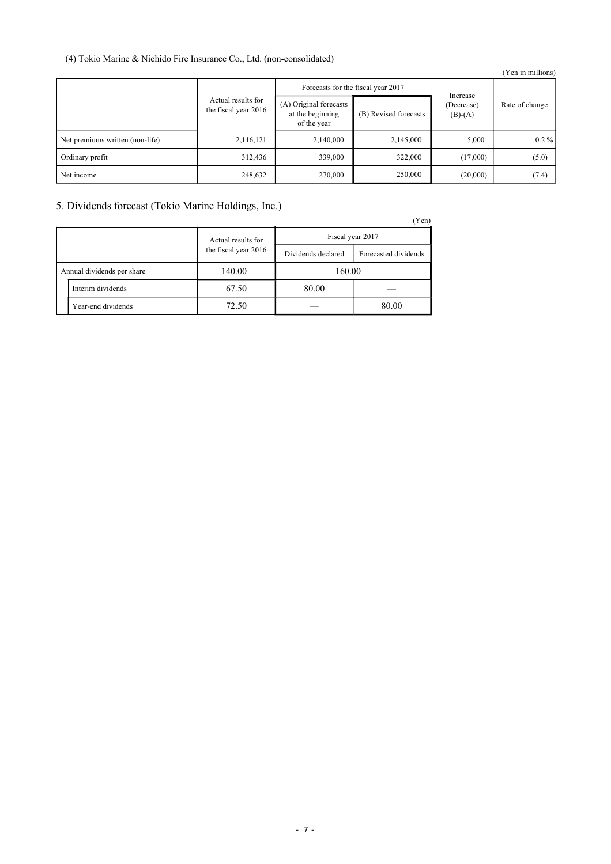# (4) Tokio Marine & Nichido Fire Insurance Co., Ltd. (non-consolidated)

|                                 |                                            |                                                           |                       |                         | (Yen in millions) |
|---------------------------------|--------------------------------------------|-----------------------------------------------------------|-----------------------|-------------------------|-------------------|
|                                 |                                            | Forecasts for the fiscal year 2017                        |                       | Increase                |                   |
|                                 | Actual results for<br>the fiscal year 2016 | (A) Original forecasts<br>at the beginning<br>of the year | (B) Revised forecasts | (Decrease)<br>$(B)-(A)$ | Rate of change    |
| Net premiums written (non-life) | 2,116,121                                  | 2,140,000                                                 | 2,145,000             | 5,000                   | $0.2\%$           |
| Ordinary profit                 | 312,436                                    | 339,000                                                   | 322,000               | (17,000)                | (5.0)             |
| Net income                      | 248,632                                    | 270,000                                                   | 250,000               | (20,000)                | (7.4)             |

# 5. Dividends forecast (Tokio Marine Holdings, Inc.)

(Yen)

|  |                            |                      |                    | $1 \vee 11$          |  |
|--|----------------------------|----------------------|--------------------|----------------------|--|
|  |                            | Actual results for   | Fiscal year 2017   |                      |  |
|  |                            | the fiscal year 2016 | Dividends declared | Forecasted dividends |  |
|  | Annual dividends per share | 140.00               | 160.00             |                      |  |
|  | Interim dividends          | 67.50                | 80.00              |                      |  |
|  | Year-end dividends         | 72.50                |                    | 80.00                |  |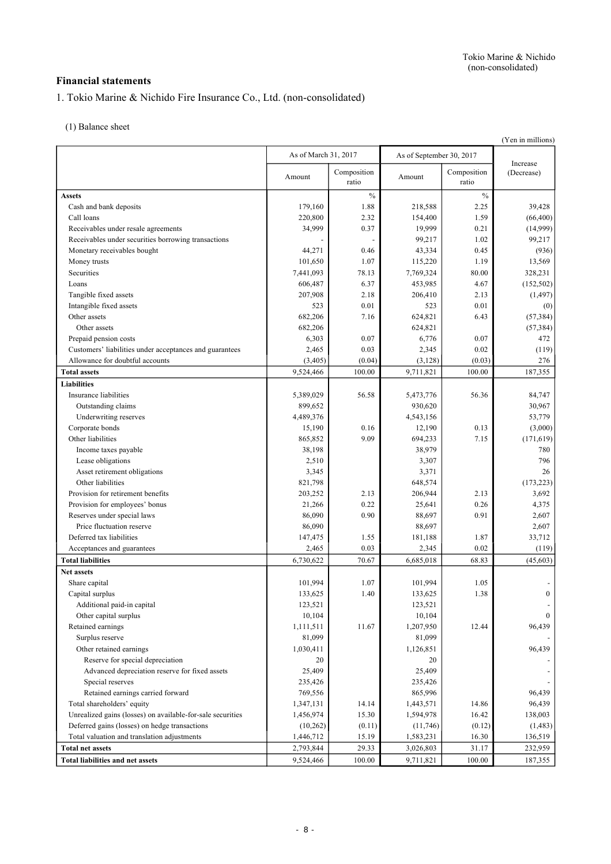# **Financial statements**

1. Tokio Marine & Nichido Fire Insurance Co., Ltd. (non-consolidated)

(1) Balance sheet

|                                                            |                      |                      |                          |                      | (Yen in millions)      |
|------------------------------------------------------------|----------------------|----------------------|--------------------------|----------------------|------------------------|
|                                                            | As of March 31, 2017 |                      | As of September 30, 2017 |                      |                        |
|                                                            | Amount               | Composition<br>ratio | Amount                   | Composition<br>ratio | Increase<br>(Decrease) |
| <b>Assets</b>                                              |                      | $\%$                 |                          | $\%$                 |                        |
| Cash and bank deposits                                     | 179,160              | 1.88                 | 218,588                  | 2.25                 | 39,428                 |
| Call loans                                                 | 220,800              | 2.32                 | 154,400                  | 1.59                 | (66, 400)              |
| Receivables under resale agreements                        | 34,999               | 0.37                 | 19,999                   | 0.21                 | (14,999)               |
| Receivables under securities borrowing transactions        |                      |                      | 99,217                   | 1.02                 | 99,217                 |
| Monetary receivables bought                                | 44,271               | 0.46                 | 43,334                   | 0.45                 | (936)                  |
| Money trusts                                               | 101,650              | 1.07                 | 115,220                  | 1.19                 | 13,569                 |
| Securities                                                 | 7,441,093            | 78.13                | 7,769,324                | 80.00                | 328,231                |
| Loans                                                      | 606,487              | 6.37                 | 453,985                  | 4.67                 | (152, 502)             |
| Tangible fixed assets                                      | 207,908              | 2.18                 | 206,410                  | 2.13                 | (1, 497)               |
| Intangible fixed assets                                    | 523                  | 0.01                 | 523                      | 0.01                 | (0)                    |
| Other assets                                               | 682,206              | 7.16                 | 624,821                  | 6.43                 | (57, 384)              |
| Other assets                                               | 682,206              |                      | 624,821                  |                      | (57, 384)              |
| Prepaid pension costs                                      | 6,303                | 0.07                 | 6,776                    | 0.07                 | 472                    |
| Customers' liabilities under acceptances and guarantees    | 2,465                | 0.03                 | 2,345                    | 0.02                 | (119)                  |
| Allowance for doubtful accounts                            | (3,405)              | (0.04)               | (3, 128)                 | (0.03)               | 276                    |
| <b>Total assets</b>                                        | 9,524,466            | 100.00               | 9,711,821                | 100.00               | 187,355                |
| <b>Liabilities</b>                                         |                      |                      |                          |                      |                        |
| Insurance liabilities                                      | 5,389,029            | 56.58                | 5,473,776                | 56.36                | 84,747                 |
| Outstanding claims                                         | 899,652              |                      | 930,620                  |                      | 30,967                 |
| Underwriting reserves                                      | 4,489,376            |                      | 4,543,156                |                      | 53,779                 |
| Corporate bonds                                            | 15,190               | 0.16                 | 12,190                   | 0.13                 | (3,000)                |
| Other liabilities                                          | 865,852              | 9.09                 | 694,233                  | 7.15                 | (171, 619)             |
| Income taxes payable                                       | 38,198               |                      | 38,979                   |                      | 780                    |
| Lease obligations                                          | 2,510                |                      | 3,307                    |                      | 796                    |
| Asset retirement obligations                               | 3,345                |                      | 3,371                    |                      | 26                     |
| Other liabilities                                          | 821,798              |                      | 648,574                  |                      | (173, 223)             |
| Provision for retirement benefits                          | 203,252              | 2.13                 | 206,944                  | 2.13                 | 3,692                  |
| Provision for employees' bonus                             | 21,266               | 0.22                 | 25,641                   | 0.26                 | 4,375                  |
| Reserves under special laws                                | 86,090               | 0.90                 | 88,697                   | 0.91                 | 2,607                  |
| Price fluctuation reserve                                  | 86,090               |                      | 88,697                   |                      | 2,607                  |
| Deferred tax liabilities                                   | 147,475              | 1.55                 | 181,188                  | 1.87                 | 33,712                 |
| Acceptances and guarantees                                 | 2,465                | 0.03                 | 2,345                    | 0.02                 | (119)                  |
| <b>Total liabilities</b>                                   | 6,730,622            | 70.67                | 6,685,018                | 68.83                | (45, 603)              |
| Net assets                                                 |                      |                      |                          |                      |                        |
| Share capital                                              | 101,994              | 1.07                 | 101,994                  | 1.05                 |                        |
| Capital surplus                                            | 133,625              | $1.40\,$             | 133,625                  | 1.38                 |                        |
| Additional paid-in capital                                 | 123,521              |                      | 123,521                  |                      |                        |
| Other capital surplus                                      | 10,104               |                      | 10,104                   |                      | $\Omega$               |
| Retained earnings                                          | 1,111,511            | 11.67                | 1,207,950                | 12.44                | 96,439                 |
| Surplus reserve                                            | 81,099               |                      | 81,099                   |                      |                        |
| Other retained earnings                                    | 1,030,411            |                      | 1,126,851                |                      | 96,439                 |
| Reserve for special depreciation                           | 20                   |                      | 20                       |                      |                        |
| Advanced depreciation reserve for fixed assets             | 25,409               |                      | 25,409                   |                      |                        |
| Special reserves                                           | 235,426              |                      | 235,426                  |                      |                        |
| Retained earnings carried forward                          | 769,556              |                      | 865,996                  |                      | 96,439                 |
| Total shareholders' equity                                 | 1,347,131            | 14.14                | 1,443,571                | 14.86                | 96,439                 |
| Unrealized gains (losses) on available-for-sale securities | 1,456,974            | 15.30                | 1,594,978                | 16.42                | 138,003                |
| Deferred gains (losses) on hedge transactions              | (10, 262)            | (0.11)               | (11,746)                 | (0.12)               | (1, 483)               |
| Total valuation and translation adjustments                | 1,446,712            | 15.19                | 1,583,231                | 16.30                | 136,519                |
| <b>Total net assets</b>                                    | 2,793,844            | 29.33                | 3,026,803                | 31.17                | 232,959                |
| <b>Total liabilities and net assets</b>                    | 9,524,466            | 100.00               | 9,711,821                | 100.00               | 187,355                |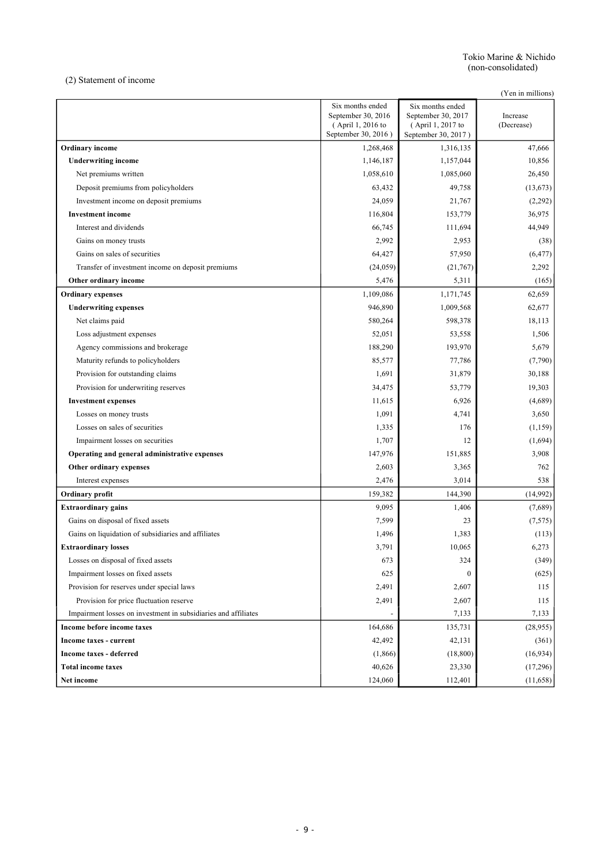(2) Statement of income

(Yen in millions)

|                                                                | Six months ended<br>September 30, 2016<br>(April 1, 2016 to<br>September 30, 2016) | Six months ended<br>September 30, 2017<br>(April 1, 2017 to<br>September 30, 2017) | Increase<br>(Decrease) |
|----------------------------------------------------------------|------------------------------------------------------------------------------------|------------------------------------------------------------------------------------|------------------------|
| <b>Ordinary</b> income                                         | 1,268,468                                                                          | 1,316,135                                                                          | 47,666                 |
| <b>Underwriting income</b>                                     | 1,146,187                                                                          | 1,157,044                                                                          | 10,856                 |
| Net premiums written                                           | 1,058,610                                                                          | 1,085,060                                                                          | 26,450                 |
| Deposit premiums from policyholders                            | 63,432                                                                             | 49,758                                                                             | (13, 673)              |
| Investment income on deposit premiums                          | 24,059                                                                             | 21,767                                                                             | (2,292)                |
| <b>Investment</b> income                                       | 116,804                                                                            | 153,779                                                                            | 36,975                 |
| Interest and dividends                                         | 66,745                                                                             | 111,694                                                                            | 44,949                 |
| Gains on money trusts                                          | 2,992                                                                              | 2,953                                                                              | (38)                   |
| Gains on sales of securities                                   | 64,427                                                                             | 57,950                                                                             | (6, 477)               |
| Transfer of investment income on deposit premiums              | (24,059)                                                                           | (21,767)                                                                           | 2,292                  |
| Other ordinary income                                          | 5,476                                                                              | 5,311                                                                              | (165)                  |
| <b>Ordinary expenses</b>                                       | 1,109,086                                                                          | 1,171,745                                                                          | 62,659                 |
| <b>Underwriting expenses</b>                                   | 946,890                                                                            | 1,009,568                                                                          | 62,677                 |
| Net claims paid                                                | 580,264                                                                            | 598,378                                                                            | 18,113                 |
| Loss adjustment expenses                                       | 52,051                                                                             | 53,558                                                                             | 1,506                  |
| Agency commissions and brokerage                               | 188,290                                                                            | 193,970                                                                            | 5,679                  |
| Maturity refunds to policyholders                              | 85,577                                                                             | 77,786                                                                             | (7,790)                |
| Provision for outstanding claims                               | 1,691                                                                              | 31,879                                                                             | 30,188                 |
| Provision for underwriting reserves                            | 34,475                                                                             | 53,779                                                                             | 19,303                 |
| <b>Investment expenses</b>                                     | 11,615                                                                             | 6,926                                                                              | (4,689)                |
| Losses on money trusts                                         | 1,091                                                                              | 4,741                                                                              | 3,650                  |
| Losses on sales of securities                                  | 1,335                                                                              | 176                                                                                | (1, 159)               |
| Impairment losses on securities                                | 1,707                                                                              | 12                                                                                 | (1,694)                |
| Operating and general administrative expenses                  | 147,976                                                                            | 151,885                                                                            | 3,908                  |
| Other ordinary expenses                                        | 2,603                                                                              | 3,365                                                                              | 762                    |
| Interest expenses                                              | 2,476                                                                              | 3,014                                                                              | 538                    |
| Ordinary profit                                                | 159,382                                                                            | 144,390                                                                            | (14,992)               |
| <b>Extraordinary gains</b>                                     | 9,095                                                                              | 1,406                                                                              | (7,689)                |
| Gains on disposal of fixed assets                              | 7,599                                                                              | 23                                                                                 | (7,575)                |
| Gains on liquidation of subsidiaries and affiliates            | 1,496                                                                              | 1,383                                                                              | (113)                  |
| <b>Extraordinary losses</b>                                    | 3,791                                                                              | 10,065                                                                             | 6,273                  |
| Losses on disposal of fixed assets                             | 673                                                                                | 324                                                                                | (349)                  |
| Impairment losses on fixed assets                              | 625                                                                                | $\boldsymbol{0}$                                                                   | (625)                  |
| Provision for reserves under special laws                      | 2,491                                                                              | 2,607                                                                              | 115                    |
| Provision for price fluctuation reserve                        | 2,491                                                                              | 2,607                                                                              | 115                    |
| Impairment losses on investment in subsidiaries and affiliates |                                                                                    | 7,133                                                                              | 7,133                  |
| Income before income taxes                                     | 164,686                                                                            | 135,731                                                                            | (28, 955)              |
| Income taxes - current                                         | 42,492                                                                             | 42,131                                                                             | (361)                  |
| <b>Income taxes - deferred</b>                                 | (1, 866)                                                                           | (18, 800)                                                                          | (16, 934)              |
| <b>Total income taxes</b>                                      | 40,626                                                                             | 23,330                                                                             | (17,296)               |
| Net income                                                     | 124,060                                                                            | 112,401                                                                            | (11, 658)              |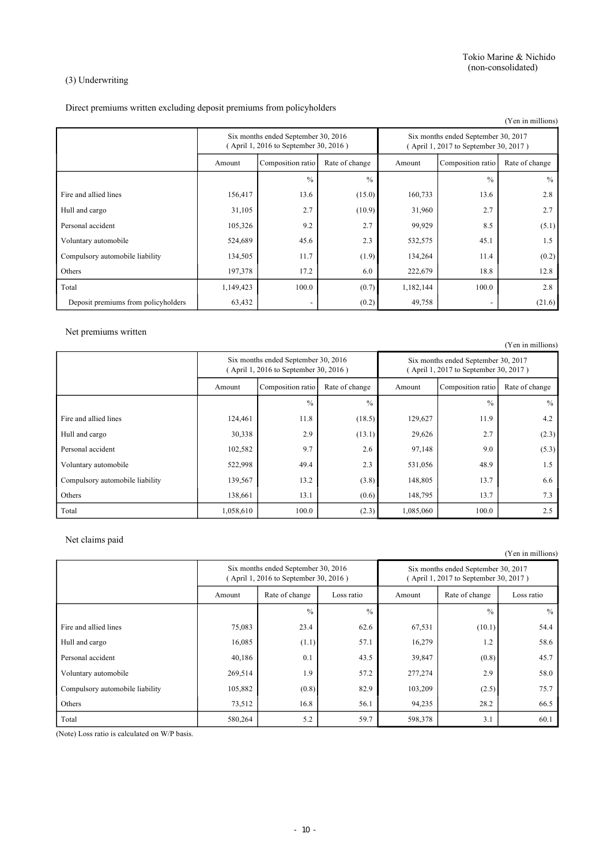#### (3) Underwriting

Direct premiums written excluding deposit premiums from policyholders

|                                     |                                                                              |                   |                |           |                                                                              | (Yen in millions) |
|-------------------------------------|------------------------------------------------------------------------------|-------------------|----------------|-----------|------------------------------------------------------------------------------|-------------------|
|                                     | Six months ended September 30, 2016<br>(April 1, 2016 to September 30, 2016) |                   |                |           | Six months ended September 30, 2017<br>(April 1, 2017 to September 30, 2017) |                   |
|                                     | Amount                                                                       | Composition ratio | Rate of change | Amount    | Composition ratio                                                            | Rate of change    |
|                                     |                                                                              | $\frac{0}{0}$     | $\frac{0}{0}$  |           | $\frac{0}{0}$                                                                | $\frac{0}{0}$     |
| Fire and allied lines               | 156,417                                                                      | 13.6              | (15.0)         | 160,733   | 13.6                                                                         | 2.8               |
| Hull and cargo                      | 31,105                                                                       | 2.7               | (10.9)         | 31,960    | 2.7                                                                          | 2.7               |
| Personal accident                   | 105,326                                                                      | 9.2               | 2.7            | 99,929    | 8.5                                                                          | (5.1)             |
| Voluntary automobile                | 524,689                                                                      | 45.6              | 2.3            | 532,575   | 45.1                                                                         | 1.5               |
| Compulsory automobile liability     | 134,505                                                                      | 11.7              | (1.9)          | 134,264   | 11.4                                                                         | (0.2)             |
| Others                              | 197,378                                                                      | 17.2              | 6.0            | 222,679   | 18.8                                                                         | 12.8              |
| Total                               | 1,149,423                                                                    | 100.0             | (0.7)          | 1,182,144 | 100.0                                                                        | 2.8               |
| Deposit premiums from policyholders | 63,432                                                                       |                   | (0.2)          | 49,758    |                                                                              | (21.6)            |

Net premiums written

Six months ended September 30, 2016 ( April 1, 2016 to September 30, 2016 ) Six months ended September 30, 2017 ( April 1, 2017 to September 30, 2017 ) Amount Composition ratio Rate of change Amount Composition ratio Rate of change  $\%$  %  $\%$ Fire and allied lines 124,461 11.8 (18.5) 129,627 11.9 11.9 4.2 Hull and cargo 2.3 (2.3) 30,338 2.9 (13.1) 29,626 2.7 (2.3) Personal accident  $102,582$  9.7 2.6 97,148 9.0 9.0 (5.3) Voluntary automobile 522,998 49.4 2.3 531,056 48.9 48.9 1.5 Compulsory automobile liability 139,567 13.2 (3.8) 148,805 13.7 6.6 Others 138,661 13.1 (0.6) 148,795 13.7 13.7 Total 1,058,610 100.0 (2.3) 1,085,060 100.0 2.5

Net claims paid

(Yen in millions) Six months ended September 30, 2016 ( April 1, 2016 to September 30, 2016 ) Six months ended September 30, 2017 ( April 1, 2017 to September 30, 2017 ) Amount Rate of change Loss ratio Amount Rate of change Loss ratio  $\%$  %  $\%$ Fire and allied lines 75,083 23.4 62.6 67,531 (10.1) 54.4 Hull and cargo 16,085 (1.1) 57.1 16,279 1.2 58.6 Personal accident 1000 1 40,186 0.1 43.5 39,847 (0.8) 45.7 Voluntary automobile 269,514 1.9 57.2 277,274 2.9 58.0 Compulsory automobile liability 105,882 (0.8) 82.9 103,209 (2.5) 75.7 Others 28.2 | 73,512 16.8 56.1 94,235 28.2 56.5

(Note) Loss ratio is calculated on W/P basis.

(Yen in millions)

Total 580,264 580,264 5.2 598,378 598,378 3.1 60.1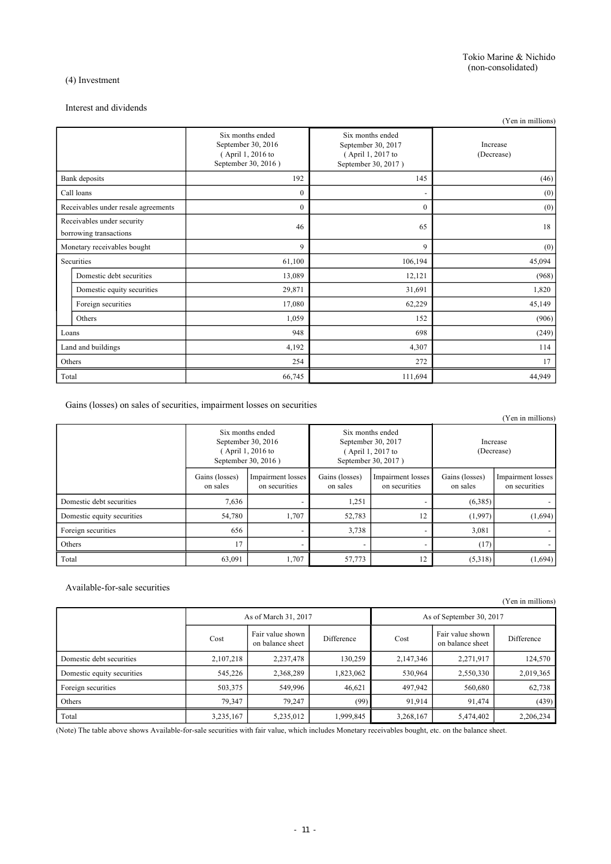#### (4) Investment

### Interest and dividends

|                                                      |                                     |                                                                                    |                                                                                    | (Yen in millions)      |
|------------------------------------------------------|-------------------------------------|------------------------------------------------------------------------------------|------------------------------------------------------------------------------------|------------------------|
|                                                      |                                     | Six months ended<br>September 30, 2016<br>(April 1, 2016 to<br>September 30, 2016) | Six months ended<br>September 30, 2017<br>(April 1, 2017 to<br>September 30, 2017) | Increase<br>(Decrease) |
|                                                      | Bank deposits                       | 192                                                                                | 145                                                                                | (46)                   |
|                                                      | Call loans                          | $\mathbf{0}$                                                                       | $\overline{\phantom{0}}$                                                           | (0)                    |
|                                                      | Receivables under resale agreements | $\mathbf{0}$                                                                       | 0                                                                                  | (0)                    |
| Receivables under security<br>borrowing transactions |                                     | 46                                                                                 | 65                                                                                 | 18                     |
| Monetary receivables bought                          |                                     | 9                                                                                  | 9                                                                                  | (0)                    |
|                                                      | Securities                          | 61,100                                                                             | 106,194                                                                            | 45,094                 |
|                                                      | Domestic debt securities            | 13,089                                                                             | 12,121                                                                             | (968)                  |
|                                                      | Domestic equity securities          | 29,871                                                                             | 31,691                                                                             | 1,820                  |
|                                                      | Foreign securities                  | 17,080                                                                             | 62,229                                                                             | 45,149                 |
|                                                      | Others                              | 1,059                                                                              | 152                                                                                | (906)                  |
| Loans                                                |                                     | 948                                                                                | 698                                                                                | (249)                  |
| Land and buildings                                   |                                     | 4,192                                                                              | 4,307                                                                              | 114                    |
| Others                                               |                                     | 254                                                                                | 272                                                                                | 17                     |
| Total                                                |                                     | 66,745                                                                             | 111,694                                                                            | 44,949                 |

Gains (losses) on sales of securities, impairment losses on securities

|                            |                                                                                                                                                                             |                                    |                            |                                    |                            | (Yen in millions)                  |
|----------------------------|-----------------------------------------------------------------------------------------------------------------------------------------------------------------------------|------------------------------------|----------------------------|------------------------------------|----------------------------|------------------------------------|
|                            | Six months ended<br>Six months ended<br>September 30, 2016<br>September 30, 2017<br>(April 1, 2016 to<br>$($ April 1, 2017 to<br>September 30, 2016)<br>September 30, 2017) |                                    | Increase<br>(Decrease)     |                                    |                            |                                    |
|                            | Gains (losses)<br>on sales                                                                                                                                                  | Impairment losses<br>on securities | Gains (losses)<br>on sales | Impairment losses<br>on securities | Gains (losses)<br>on sales | Impairment losses<br>on securities |
| Domestic debt securities   | 7,636                                                                                                                                                                       |                                    | 1,251                      |                                    | (6,385)                    |                                    |
| Domestic equity securities | 54,780                                                                                                                                                                      | 1,707                              | 52,783                     | 12                                 | (1,997)                    | (1,694)                            |
| Foreign securities         | 656                                                                                                                                                                         |                                    | 3,738                      | -                                  | 3,081                      |                                    |
| Others                     | 17                                                                                                                                                                          |                                    | $\overline{\phantom{a}}$   |                                    | (17)                       |                                    |
| Total                      | 63,091                                                                                                                                                                      | 1,707                              | 57,773                     | 12                                 | (5,318)                    | (1,694)                            |

#### Available-for-sale securities

(Yen in millions)

|                            | As of March 31, 2017 |                                      |            | As of September 30, 2017 |                                      |            |
|----------------------------|----------------------|--------------------------------------|------------|--------------------------|--------------------------------------|------------|
|                            | Cost                 | Fair value shown<br>on balance sheet | Difference | Cost                     | Fair value shown<br>on balance sheet | Difference |
| Domestic debt securities   | 2,107,218            | 2,237,478                            | 130,259    | 2,147,346                | 2,271,917                            | 124,570    |
| Domestic equity securities | 545,226              | 2,368,289                            | 1,823,062  | 530,964                  | 2,550,330                            | 2,019,365  |
| Foreign securities         | 503,375              | 549.996                              | 46,621     | 497,942                  | 560,680                              | 62,738     |
| Others                     | 79,347               | 79.247                               | (99)       | 91,914                   | 91,474                               | (439)      |
| Total                      | 3,235,167            | 5,235,012                            | 1,999,845  | 3,268,167                | 5,474,402                            | 2,206,234  |

(Note) The table above shows Available-for-sale securities with fair value, which includes Monetary receivables bought, etc. on the balance sheet.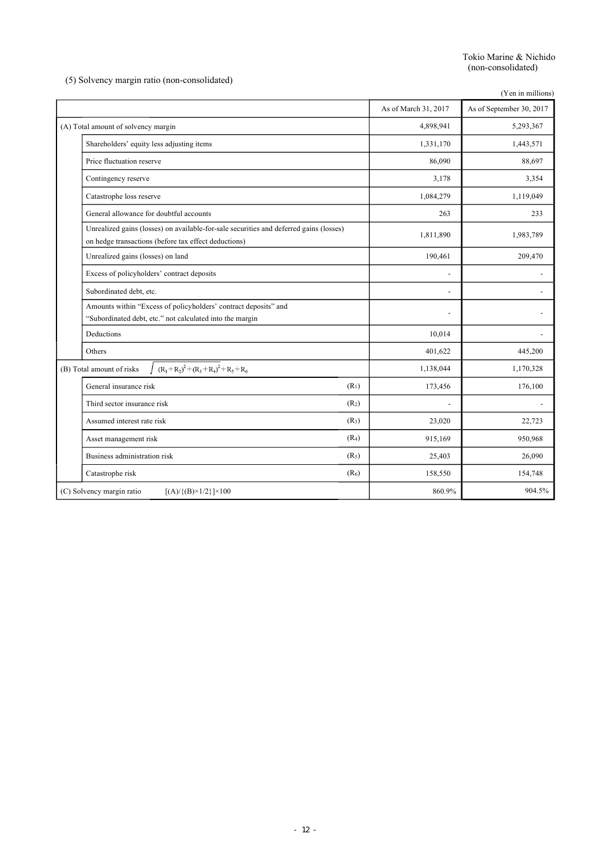Tokio Marine & Nichido (non-consolidated)

(5) Solvency margin ratio (non-consolidated)

|                                                                                                                                                |                      | (Yen in millions)        |
|------------------------------------------------------------------------------------------------------------------------------------------------|----------------------|--------------------------|
|                                                                                                                                                | As of March 31, 2017 | As of September 30, 2017 |
| (A) Total amount of solvency margin                                                                                                            | 4,898,941            | 5,293,367                |
| Shareholders' equity less adjusting items                                                                                                      | 1,331,170            | 1,443,571                |
| Price fluctuation reserve                                                                                                                      | 86,090               | 88,697                   |
| Contingency reserve                                                                                                                            | 3,178                | 3,354                    |
| Catastrophe loss reserve                                                                                                                       | 1,084,279            | 1,119,049                |
| General allowance for doubtful accounts                                                                                                        | 263                  | 233                      |
| Unrealized gains (losses) on available-for-sale securities and deferred gains (losses)<br>on hedge transactions (before tax effect deductions) | 1,811,890            | 1,983,789                |
| Unrealized gains (losses) on land                                                                                                              | 190,461              | 209,470                  |
| Excess of policyholders' contract deposits                                                                                                     |                      |                          |
| Subordinated debt, etc.                                                                                                                        |                      |                          |
| Amounts within "Excess of policyholders' contract deposits" and                                                                                |                      |                          |
| "Subordinated debt, etc." not calculated into the margin                                                                                       |                      |                          |
| Deductions                                                                                                                                     | 10,014               |                          |
| Others                                                                                                                                         | 401,622              | 445,200                  |
| $(R_1+R_2)^2+(R_3+R_4)^2+R_5+R_6$<br>(B) Total amount of risks                                                                                 | 1,138,044            | 1,170,328                |
| (R <sub>1</sub> )<br>General insurance risk                                                                                                    | 173,456              | 176,100                  |
| (R <sub>2</sub> )<br>Third sector insurance risk                                                                                               |                      |                          |
| (R <sub>3</sub> )<br>Assumed interest rate risk                                                                                                | 23,020               | 22,723                   |
| (R <sub>4</sub> )<br>Asset management risk                                                                                                     | 915,169              | 950,968                  |
| Business administration risk<br>(R <sub>5</sub> )                                                                                              | 25,403               | 26,090                   |
| (R <sub>6</sub> )<br>Catastrophe risk                                                                                                          | 158,550              | 154,748                  |
| (C) Solvency margin ratio<br>$[(A)/{(B)} \times 1/2] \times 100$                                                                               | 860.9%               | 904.5%                   |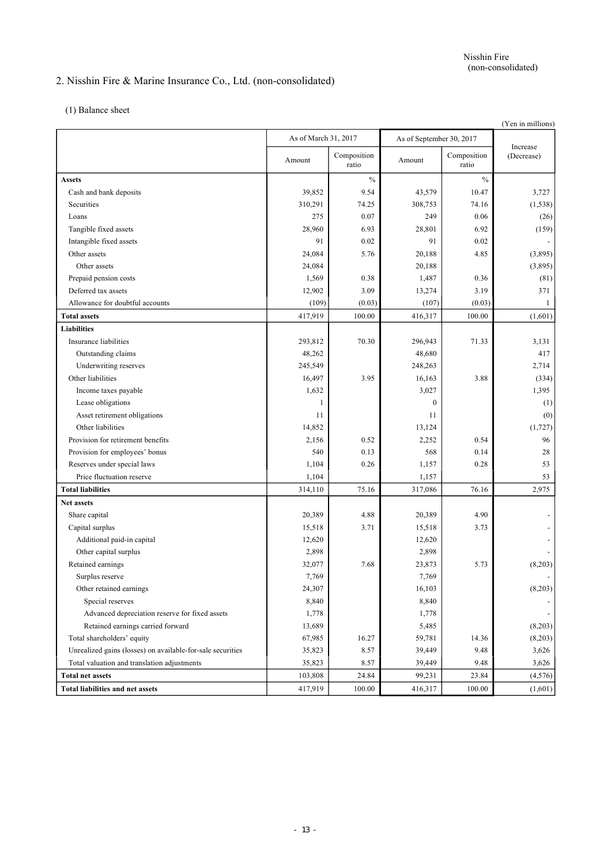# 2. Nisshin Fire & Marine Insurance Co., Ltd. (non-consolidated)

(1) Balance sheet

|                                                            |                      |                      |                          |                      | (Yen in millions)      |
|------------------------------------------------------------|----------------------|----------------------|--------------------------|----------------------|------------------------|
|                                                            | As of March 31, 2017 |                      | As of September 30, 2017 |                      |                        |
|                                                            | Amount               | Composition<br>ratio | Amount                   | Composition<br>ratio | Increase<br>(Decrease) |
| <b>Assets</b>                                              |                      | $\frac{0}{0}$        |                          | $\frac{0}{0}$        |                        |
| Cash and bank deposits                                     | 39,852               | 9.54                 | 43,579                   | 10.47                | 3,727                  |
| Securities                                                 | 310,291              | 74.25                | 308,753                  | 74.16                | (1, 538)               |
| Loans                                                      | 275                  | 0.07                 | 249                      | 0.06                 | (26)                   |
| Tangible fixed assets                                      | 28,960               | 6.93                 | 28,801                   | 6.92                 | (159)                  |
| Intangible fixed assets                                    | 91                   | 0.02                 | 91                       | 0.02                 |                        |
| Other assets                                               | 24,084               | 5.76                 | 20,188                   | 4.85                 | (3,895)                |
| Other assets                                               | 24,084               |                      | 20,188                   |                      | (3,895)                |
| Prepaid pension costs                                      | 1,569                | 0.38                 | 1,487                    | 0.36                 | (81)                   |
| Deferred tax assets                                        | 12,902               | 3.09                 | 13,274                   | 3.19                 | 371                    |
| Allowance for doubtful accounts                            | (109)                | (0.03)               | (107)                    | (0.03)               | 1                      |
| <b>Total assets</b>                                        | 417,919              | 100.00               | 416,317                  | 100.00               | (1,601)                |
| <b>Liabilities</b>                                         |                      |                      |                          |                      |                        |
| Insurance liabilities                                      | 293,812              | 70.30                | 296,943                  | 71.33                | 3,131                  |
| Outstanding claims                                         | 48,262               |                      | 48,680                   |                      | 417                    |
| Underwriting reserves                                      | 245,549              |                      | 248,263                  |                      | 2,714                  |
| Other liabilities                                          | 16,497               | 3.95                 | 16,163                   | 3.88                 | (334)                  |
| Income taxes payable                                       | 1,632                |                      | 3,027                    |                      | 1,395                  |
| Lease obligations                                          | 1                    |                      | $\mathbf{0}$             |                      | (1)                    |
| Asset retirement obligations                               | 11                   |                      | 11                       |                      | (0)                    |
| Other liabilities                                          | 14,852               |                      | 13,124                   |                      | (1, 727)               |
| Provision for retirement benefits                          | 2,156                | 0.52                 | 2,252                    | 0.54                 | 96                     |
| Provision for employees' bonus                             | 540                  | 0.13                 | 568                      | 0.14                 | 28                     |
| Reserves under special laws                                | 1,104                | 0.26                 | 1,157                    | 0.28                 | 53                     |
| Price fluctuation reserve                                  | 1,104                |                      | 1,157                    |                      | 53                     |
| <b>Total liabilities</b>                                   | 314,110              | 75.16                | 317,086                  | 76.16                | 2,975                  |
| <b>Net assets</b>                                          |                      |                      |                          |                      |                        |
| Share capital                                              | 20,389               | 4.88                 | 20,389                   | 4.90                 |                        |
| Capital surplus                                            | 15,518               | 3.71                 | 15,518                   | 3.73                 |                        |
| Additional paid-in capital                                 | 12,620               |                      | 12,620                   |                      |                        |
| Other capital surplus                                      | 2,898                |                      | 2,898                    |                      |                        |
| Retained earnings                                          | 32,077               | 7.68                 | 23,873                   | 5.73                 | (8,203)                |
| Surplus reserve                                            | 7,769                |                      | 7,769                    |                      |                        |
| Other retained earnings                                    | 24,307               |                      | 16,103                   |                      | (8,203)                |
| Special reserves                                           | 8,840                |                      | 8,840                    |                      |                        |
| Advanced depreciation reserve for fixed assets             | 1,778                |                      | 1,778                    |                      |                        |
| Retained earnings carried forward                          | 13,689               |                      | 5,485                    |                      | (8,203)                |
| Total shareholders' equity                                 | 67,985               | 16.27                | 59,781                   | 14.36                | (8,203)                |
| Unrealized gains (losses) on available-for-sale securities | 35,823               | 8.57                 | 39,449                   | 9.48                 | 3,626                  |
| Total valuation and translation adjustments                | 35,823               | 8.57                 | 39,449                   | 9.48                 | 3,626                  |
| <b>Total net assets</b>                                    | 103,808              | 24.84                | 99,231                   | 23.84                | (4,576)                |
| <b>Total liabilities and net assets</b>                    | 417,919              | 100.00               | 416,317                  | 100.00               | (1,601)                |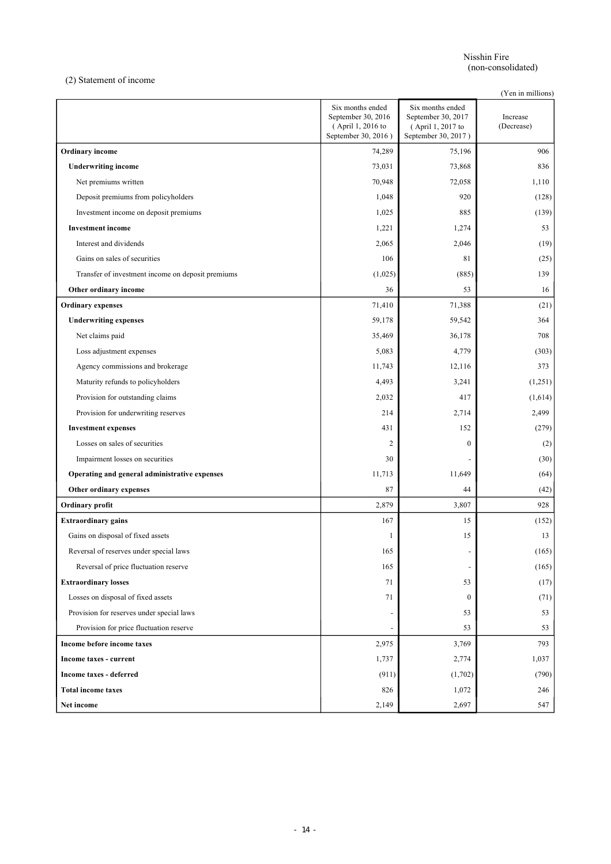Nisshin Fire (non-consolidated)

(2) Statement of income

(Yen in millions)

|                                                   | Six months ended<br>September 30, 2016<br>(April 1, 2016 to<br>September 30, 2016) | Six months ended<br>September 30, 2017<br>(April 1, 2017 to<br>September 30, 2017) | Increase<br>(Decrease) |
|---------------------------------------------------|------------------------------------------------------------------------------------|------------------------------------------------------------------------------------|------------------------|
| <b>Ordinary</b> income                            | 74,289                                                                             | 75,196                                                                             | 906                    |
| <b>Underwriting income</b>                        | 73,031                                                                             | 73,868                                                                             | 836                    |
| Net premiums written                              | 70,948                                                                             | 72,058                                                                             | 1,110                  |
| Deposit premiums from policyholders               | 1,048                                                                              | 920                                                                                | (128)                  |
| Investment income on deposit premiums             | 1,025                                                                              | 885                                                                                | (139)                  |
| <b>Investment</b> income                          | 1,221                                                                              | 1,274                                                                              | 53                     |
| Interest and dividends                            | 2,065                                                                              | 2,046                                                                              | (19)                   |
| Gains on sales of securities                      | 106                                                                                | 81                                                                                 | (25)                   |
| Transfer of investment income on deposit premiums | (1,025)                                                                            | (885)                                                                              | 139                    |
| Other ordinary income                             | 36                                                                                 | 53                                                                                 | 16                     |
| <b>Ordinary expenses</b>                          | 71,410                                                                             | 71,388                                                                             | (21)                   |
| <b>Underwriting expenses</b>                      | 59,178                                                                             | 59,542                                                                             | 364                    |
| Net claims paid                                   | 35,469                                                                             | 36,178                                                                             | 708                    |
| Loss adjustment expenses                          | 5,083                                                                              | 4,779                                                                              | (303)                  |
| Agency commissions and brokerage                  | 11,743                                                                             | 12,116                                                                             | 373                    |
| Maturity refunds to policyholders                 | 4,493                                                                              | 3,241                                                                              | (1,251)                |
| Provision for outstanding claims                  | 2,032                                                                              | 417                                                                                | (1,614)                |
| Provision for underwriting reserves               | 214                                                                                | 2,714                                                                              | 2,499                  |
| <b>Investment expenses</b>                        | 431                                                                                | 152                                                                                | (279)                  |
| Losses on sales of securities                     | $\overline{c}$                                                                     | $\bf{0}$                                                                           | (2)                    |
| Impairment losses on securities                   | 30                                                                                 |                                                                                    | (30)                   |
| Operating and general administrative expenses     | 11,713                                                                             | 11,649                                                                             | (64)                   |
| Other ordinary expenses                           | 87                                                                                 | 44                                                                                 | (42)                   |
| Ordinary profit                                   | 2,879                                                                              | 3,807                                                                              | 928                    |
| <b>Extraordinary gains</b>                        | 167                                                                                | 15                                                                                 | (152)                  |
| Gains on disposal of fixed assets                 | 1                                                                                  | 15                                                                                 | 13                     |
| Reversal of reserves under special laws           | 165                                                                                |                                                                                    | (165)                  |
| Reversal of price fluctuation reserve             | 165                                                                                | $\overline{\phantom{a}}$                                                           | (165)                  |
| <b>Extraordinary losses</b>                       | 71                                                                                 | 53                                                                                 | (17)                   |
| Losses on disposal of fixed assets                | 71                                                                                 | $\overline{0}$                                                                     | (71)                   |
| Provision for reserves under special laws         |                                                                                    | 53                                                                                 | 53                     |
| Provision for price fluctuation reserve           |                                                                                    | 53                                                                                 | 53                     |
| Income before income taxes                        | 2,975                                                                              | 3,769                                                                              | 793                    |
| Income taxes - current                            | 1,737                                                                              | 2,774                                                                              | 1,037                  |
| Income taxes - deferred                           | (911)                                                                              | (1,702)                                                                            | (790)                  |
| <b>Total income taxes</b>                         | 826                                                                                | 1,072                                                                              | 246                    |
| Net income                                        | 2,149                                                                              | 2,697                                                                              | 547                    |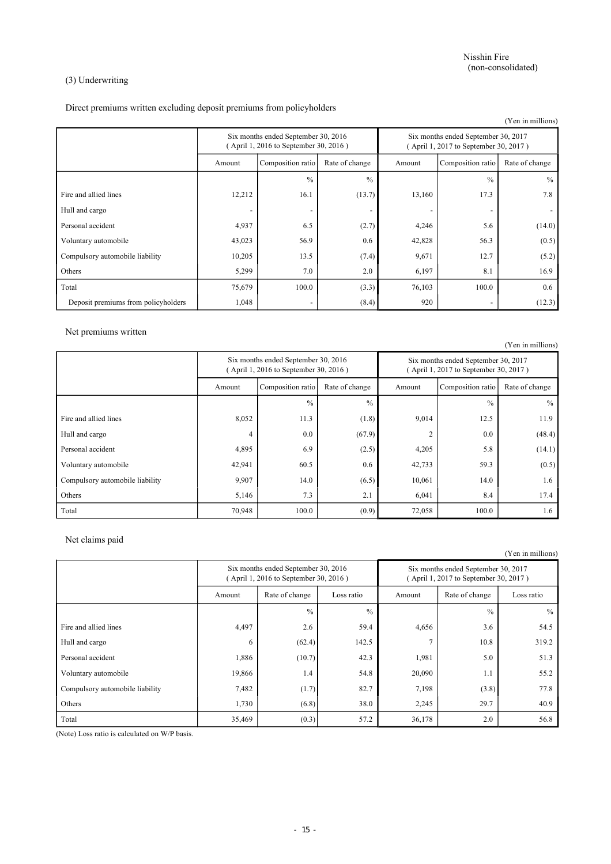### (3) Underwriting

Direct premiums written excluding deposit premiums from policyholders

|                                     |                                                                              |                          |                |                                                                              |                   | (Yen in millions) |
|-------------------------------------|------------------------------------------------------------------------------|--------------------------|----------------|------------------------------------------------------------------------------|-------------------|-------------------|
|                                     | Six months ended September 30, 2016<br>(April 1, 2016 to September 30, 2016) |                          |                | Six months ended September 30, 2017<br>(April 1, 2017 to September 30, 2017) |                   |                   |
|                                     | Amount                                                                       | Composition ratio        | Rate of change | Amount                                                                       | Composition ratio | Rate of change    |
|                                     |                                                                              | $\frac{0}{0}$            | $\frac{0}{0}$  |                                                                              | $\frac{0}{0}$     | $\%$              |
| Fire and allied lines               | 12,212                                                                       | 16.1                     | (13.7)         | 13,160                                                                       | 17.3              | 7.8               |
| Hull and cargo                      |                                                                              |                          |                |                                                                              |                   |                   |
| Personal accident                   | 4,937                                                                        | 6.5                      | (2.7)          | 4,246                                                                        | 5.6               | (14.0)            |
| Voluntary automobile                | 43,023                                                                       | 56.9                     | 0.6            | 42,828                                                                       | 56.3              | (0.5)             |
| Compulsory automobile liability     | 10,205                                                                       | 13.5                     | (7.4)          | 9,671                                                                        | 12.7              | (5.2)             |
| Others                              | 5,299                                                                        | 7.0                      | 2.0            | 6,197                                                                        | 8.1               | 16.9              |
| Total                               | 75,679                                                                       | 100.0                    | (3.3)          | 76,103                                                                       | 100.0             | 0.6               |
| Deposit premiums from policyholders | 1,048                                                                        | $\overline{\phantom{a}}$ | (8.4)          | 920                                                                          |                   | (12.3)            |

Net premiums written

(Yen in millions) Six months ended September 30, 2016 ( April 1, 2016 to September 30, 2016 ) Six months ended September 30, 2017 ( April 1, 2017 to September 30, 2017 ) Amount Composition ratio Rate of change Amount Composition ratio Rate of change  $\%$  %  $\%$ Fire and allied lines 8,052 11.3 (1.8) 9,014 12.5 11.9 Hull and cargo  $4 \mid 0.0 \mid 67.9$   $2 \mid 0.0 \mid 48.4$ Personal accident 4,895 6.9 (2.5) 4,205 5.8 (14.1) Voluntary automobile 42,941 60.5 0.6 42,733 59.3 59.3 (0.5) Compulsory automobile liability 1.6 (6.5) 10,061 14.0 1.6 Others 5,146 7.3 2.1 6,041 8.4 17.4 Total 100.0 | 70,948 | 100.0 | 72,058 | 100.0 | 1.6

Net claims paid

(Yen in millions)

|                                 | Six months ended September 30, 2016<br>(April 1, 2016 to September 30, 2016) |                |               | Six months ended September 30, 2017<br>(April 1, 2017 to September 30, 2017) |                |               |
|---------------------------------|------------------------------------------------------------------------------|----------------|---------------|------------------------------------------------------------------------------|----------------|---------------|
|                                 | Amount                                                                       | Rate of change | Loss ratio    | Amount                                                                       | Rate of change | Loss ratio    |
|                                 |                                                                              | $\frac{0}{0}$  | $\frac{0}{0}$ |                                                                              | $\frac{0}{0}$  | $\frac{0}{0}$ |
| Fire and allied lines           | 4,497                                                                        | 2.6            | 59.4          | 4,656                                                                        | 3.6            | 54.5          |
| Hull and cargo                  | 6                                                                            | (62.4)         | 142.5         |                                                                              | 10.8           | 319.2         |
| Personal accident               | 1,886                                                                        | (10.7)         | 42.3          | 1,981                                                                        | 5.0            | 51.3          |
| Voluntary automobile            | 19,866                                                                       | 1.4            | 54.8          | 20,090                                                                       | 1.1            | 55.2          |
| Compulsory automobile liability | 7,482                                                                        | (1.7)          | 82.7          | 7,198                                                                        | (3.8)          | 77.8          |
| Others                          | 1,730                                                                        | (6.8)          | 38.0          | 2,245                                                                        | 29.7           | 40.9          |
| Total                           | 35,469                                                                       | (0.3)          | 57.2          | 36,178                                                                       | 2.0            | 56.8          |

(Note) Loss ratio is calculated on W/P basis.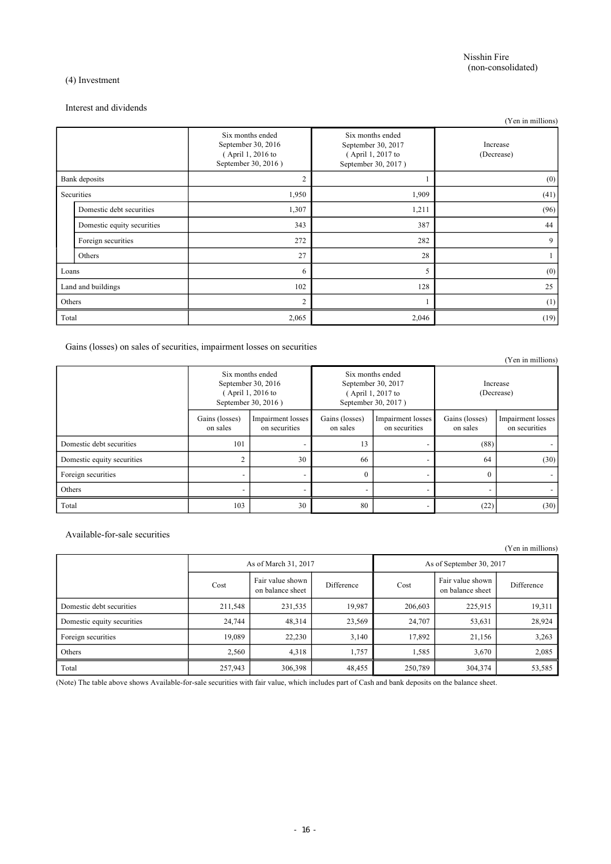### (4) Investment

#### Interest and dividends

|                    |                            |                                                                                    |                                                                                    | (Yen in millions)      |
|--------------------|----------------------------|------------------------------------------------------------------------------------|------------------------------------------------------------------------------------|------------------------|
|                    |                            | Six months ended<br>September 30, 2016<br>(April 1, 2016 to<br>September 30, 2016) | Six months ended<br>September 30, 2017<br>(April 1, 2017 to<br>September 30, 2017) | Increase<br>(Decrease) |
|                    | Bank deposits              | $\overline{c}$                                                                     |                                                                                    | (0)                    |
| Securities         |                            | 1,950                                                                              | 1,909                                                                              | (41)                   |
|                    | Domestic debt securities   | 1,307                                                                              | 1,211                                                                              | (96)                   |
|                    | Domestic equity securities | 343                                                                                | 387                                                                                | 44                     |
|                    | Foreign securities         | 272                                                                                | 282                                                                                | 9                      |
|                    | Others                     | 27                                                                                 | 28                                                                                 |                        |
| Loans              |                            | 6                                                                                  | 5                                                                                  | (0)                    |
| Land and buildings |                            | 102                                                                                | 128                                                                                | 25                     |
| Others             |                            | $\overline{c}$                                                                     |                                                                                    | (1)                    |
| Total              |                            | 2,065                                                                              | 2,046                                                                              | (19)                   |

Gains (losses) on sales of securities, impairment losses on securities

|                            |                                                                                    |                                    |                                                                                    |                                    |                            | (Yen in millions)                  |
|----------------------------|------------------------------------------------------------------------------------|------------------------------------|------------------------------------------------------------------------------------|------------------------------------|----------------------------|------------------------------------|
|                            | Six months ended<br>September 30, 2016<br>(April 1, 2016 to<br>September 30, 2016) |                                    | Six months ended<br>September 30, 2017<br>(April 1, 2017 to<br>September 30, 2017) |                                    | Increase<br>(Decrease)     |                                    |
|                            | Gains (losses)<br>on sales                                                         | Impairment losses<br>on securities | Gains (losses)<br>on sales                                                         | Impairment losses<br>on securities | Gains (losses)<br>on sales | Impairment losses<br>on securities |
| Domestic debt securities   | 101                                                                                |                                    | 13                                                                                 |                                    | (88)                       |                                    |
| Domestic equity securities | $\overline{c}$                                                                     | 30                                 | 66                                                                                 |                                    | 64                         | (30)                               |
| Foreign securities         | $\overline{\phantom{0}}$                                                           |                                    | $\overline{0}$                                                                     |                                    | $\theta$                   |                                    |
| Others                     |                                                                                    |                                    | $\overline{\phantom{0}}$                                                           |                                    |                            |                                    |
| Total                      | 103                                                                                | 30                                 | 80                                                                                 |                                    | (22)                       | (30)                               |

Available-for-sale securities

|                            |                      |                                      |            |                          |                                      | (Yen in millions) |
|----------------------------|----------------------|--------------------------------------|------------|--------------------------|--------------------------------------|-------------------|
|                            | As of March 31, 2017 |                                      |            | As of September 30, 2017 |                                      |                   |
|                            | Cost                 | Fair value shown<br>on balance sheet | Difference | Cost                     | Fair value shown<br>on balance sheet | Difference        |
| Domestic debt securities   | 211,548              | 231,535                              | 19,987     | 206,603                  | 225,915                              | 19,311            |
| Domestic equity securities | 24,744               | 48,314                               | 23,569     | 24,707                   | 53,631                               | 28,924            |
| Foreign securities         | 19,089               | 22,230                               | 3,140      | 17,892                   | 21,156                               | 3,263             |
| Others                     | 2,560                | 4,318                                | 1,757      | 1,585                    | 3,670                                | 2,085             |
| Total                      | 257,943              | 306,398                              | 48,455     | 250,789                  | 304,374                              | 53,585            |

(Note) The table above shows Available-for-sale securities with fair value, which includes part of Cash and bank deposits on the balance sheet.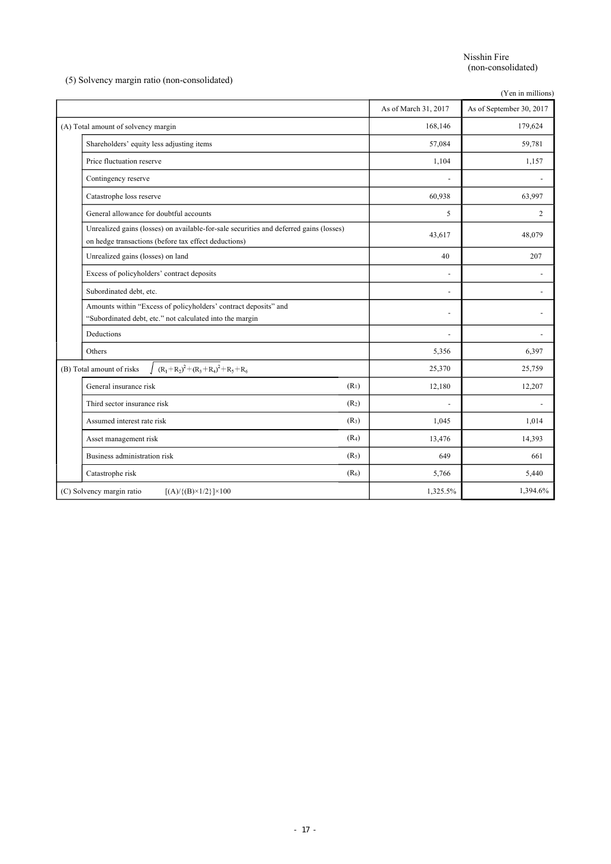Nisshin Fire (non-consolidated)

(5) Solvency margin ratio (non-consolidated)

|                                                                                                                                                |                      | (Yen in millions)        |
|------------------------------------------------------------------------------------------------------------------------------------------------|----------------------|--------------------------|
|                                                                                                                                                | As of March 31, 2017 | As of September 30, 2017 |
| (A) Total amount of solvency margin                                                                                                            | 168,146              | 179,624                  |
| Shareholders' equity less adjusting items                                                                                                      | 57,084               | 59,781                   |
| Price fluctuation reserve                                                                                                                      | 1,104                | 1,157                    |
| Contingency reserve                                                                                                                            |                      |                          |
| Catastrophe loss reserve                                                                                                                       | 60,938               | 63,997                   |
| General allowance for doubtful accounts                                                                                                        | 5                    | $\overline{2}$           |
| Unrealized gains (losses) on available-for-sale securities and deferred gains (losses)<br>on hedge transactions (before tax effect deductions) | 43,617               | 48,079                   |
| Unrealized gains (losses) on land                                                                                                              | 40                   | 207                      |
| Excess of policyholders' contract deposits                                                                                                     |                      |                          |
| Subordinated debt, etc.                                                                                                                        |                      |                          |
| Amounts within "Excess of policyholders' contract deposits" and                                                                                |                      |                          |
| "Subordinated debt, etc." not calculated into the margin                                                                                       |                      |                          |
| Deductions                                                                                                                                     | $\overline{a}$       |                          |
| Others                                                                                                                                         | 5,356                | 6,397                    |
| $(R_1+R_2)^2+(R_3+R_4)^2+R_5+R_6$<br>(B) Total amount of risks                                                                                 | 25,370               | 25,759                   |
| (R <sub>1</sub> )<br>General insurance risk                                                                                                    | 12,180               | 12,207                   |
| Third sector insurance risk<br>(R <sub>2</sub> )                                                                                               |                      |                          |
| (R <sub>3</sub> )<br>Assumed interest rate risk                                                                                                | 1,045                | 1,014                    |
| (R <sub>4</sub> )<br>Asset management risk                                                                                                     | 13,476               | 14,393                   |
| Business administration risk<br>(R <sub>5</sub> )                                                                                              | 649                  | 661                      |
| (R <sub>6</sub> )<br>Catastrophe risk                                                                                                          | 5,766                | 5,440                    |
| (C) Solvency margin ratio<br>$[(A)/{(B)} \times 1/2] \times 100$                                                                               | 1,325.5%             | 1,394.6%                 |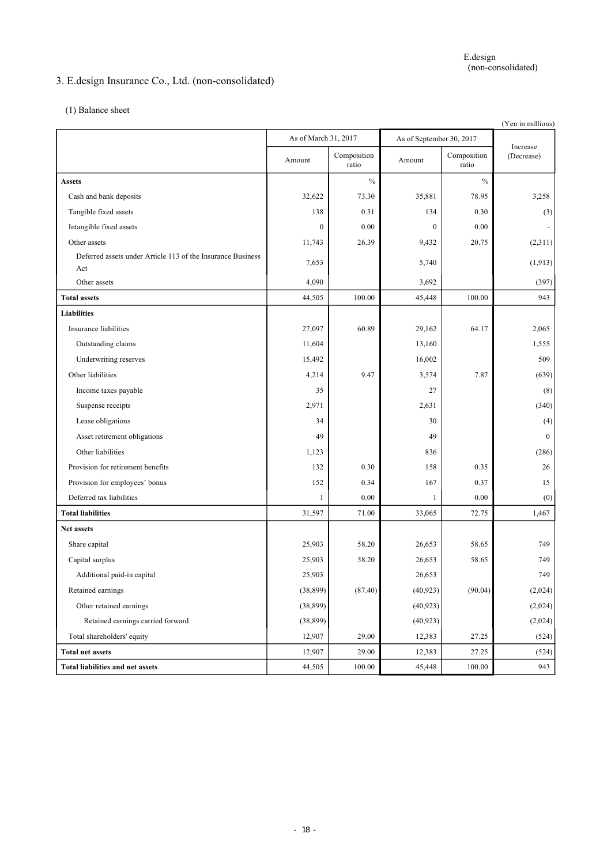# 3. E.design Insurance Co., Ltd. (non-consolidated)

(1) Balance sheet

| (Yen in millions)                                                  |                      |                      |                  |                          |                        |  |
|--------------------------------------------------------------------|----------------------|----------------------|------------------|--------------------------|------------------------|--|
|                                                                    | As of March 31, 2017 |                      |                  | As of September 30, 2017 |                        |  |
|                                                                    | Amount               | Composition<br>ratio | Amount           | Composition<br>ratio     | Increase<br>(Decrease) |  |
| <b>Assets</b>                                                      |                      | $\frac{0}{0}$        |                  | $\%$                     |                        |  |
| Cash and bank deposits                                             | 32,622               | 73.30                | 35,881           | 78.95                    | 3,258                  |  |
| Tangible fixed assets                                              | 138                  | 0.31                 | 134              | 0.30                     | (3)                    |  |
| Intangible fixed assets                                            | $\mathbf{0}$         | 0.00                 | $\boldsymbol{0}$ | 0.00                     |                        |  |
| Other assets                                                       | 11,743               | 26.39                | 9,432            | 20.75                    | (2,311)                |  |
| Deferred assets under Article 113 of the Insurance Business<br>Act | 7,653                |                      | 5,740            |                          | (1, 913)               |  |
| Other assets                                                       | 4,090                |                      | 3,692            |                          | (397)                  |  |
| <b>Total assets</b>                                                | 44,505               | 100.00               | 45,448           | 100.00                   | 943                    |  |
| <b>Liabilities</b>                                                 |                      |                      |                  |                          |                        |  |
| Insurance liabilities                                              | 27,097               | 60.89                | 29,162           | 64.17                    | 2,065                  |  |
| Outstanding claims                                                 | 11,604               |                      | 13,160           |                          | 1,555                  |  |
| Underwriting reserves                                              | 15,492               |                      | 16,002           |                          | 509                    |  |
| Other liabilities                                                  | 4,214                | 9.47                 | 3,574            | 7.87                     | (639)                  |  |
| Income taxes payable                                               | 35                   |                      | 27               |                          | (8)                    |  |
| Suspense receipts                                                  | 2,971                |                      | 2,631            |                          | (340)                  |  |
| Lease obligations                                                  | 34                   |                      | 30               |                          | (4)                    |  |
| Asset retirement obligations                                       | 49                   |                      | 49               |                          | $\mathbf{0}$           |  |
| Other liabilities                                                  | 1,123                |                      | 836              |                          | (286)                  |  |
| Provision for retirement benefits                                  | 132                  | 0.30                 | 158              | 0.35                     | 26                     |  |
| Provision for employees' bonus                                     | 152                  | 0.34                 | 167              | 0.37                     | 15                     |  |
| Deferred tax liabilities                                           | 1                    | 0.00                 | 1                | 0.00                     | (0)                    |  |
| <b>Total liabilities</b>                                           | 31,597               | 71.00                | 33,065           | 72.75                    | 1,467                  |  |
| Net assets                                                         |                      |                      |                  |                          |                        |  |
| Share capital                                                      | 25,903               | 58.20                | 26,653           | 58.65                    | 749                    |  |
| Capital surplus                                                    | 25,903               | 58.20                | 26,653           | 58.65                    | 749                    |  |
| Additional paid-in capital                                         | 25,903               |                      | 26,653           |                          | 749                    |  |
| Retained earnings                                                  | (38, 899)            | (87.40)              | (40,923)         | (90.04)                  | (2,024)                |  |
| Other retained earnings                                            | (38, 899)            |                      | (40, 923)        |                          | (2,024)                |  |
| Retained earnings carried forward                                  | (38, 899)            |                      | (40, 923)        |                          | (2,024)                |  |
| Total shareholders' equity                                         | 12,907               | 29.00                | 12,383           | 27.25                    | (524)                  |  |
| <b>Total net assets</b>                                            | 12,907               | 29.00                | 12,383           | 27.25                    | (524)                  |  |
| <b>Total liabilities and net assets</b>                            | 44,505               | 100.00               | 45,448           | 100.00                   | 943                    |  |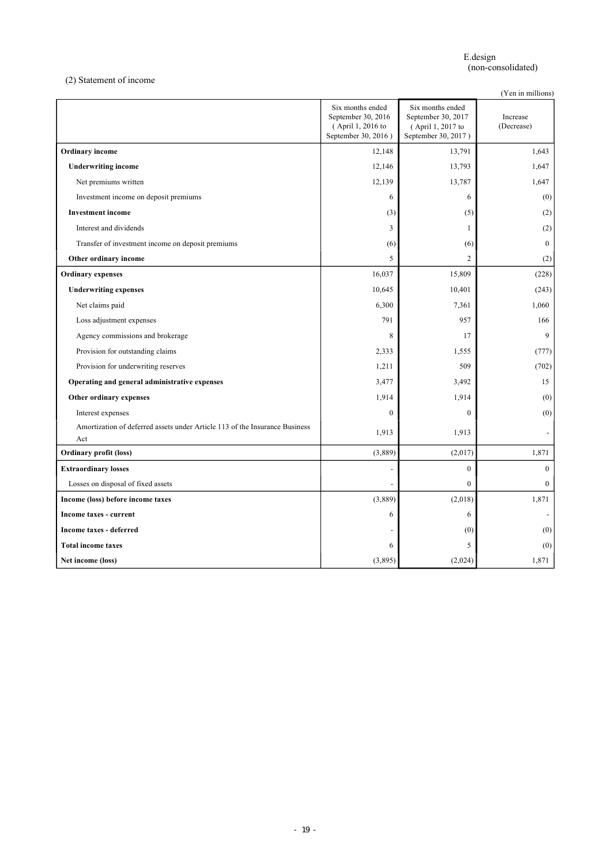E.design (non-consolidated)

(2) Statement of income

(Yen in millions)

|                                                                                    | Six months ended<br>September 30, 2016<br>(April 1, 2016 to<br>September 30, 2016) | Six months ended<br>September 30, 2017<br>(April 1, 2017 to<br>September 30, 2017) | Increase<br>(Decrease) |
|------------------------------------------------------------------------------------|------------------------------------------------------------------------------------|------------------------------------------------------------------------------------|------------------------|
| <b>Ordinary</b> income                                                             | 12,148                                                                             | 13,791                                                                             | 1,643                  |
| <b>Underwriting income</b>                                                         | 12,146                                                                             | 13,793                                                                             | 1,647                  |
| Net premiums written                                                               | 12,139                                                                             | 13,787                                                                             | 1,647                  |
| Investment income on deposit premiums                                              | 6                                                                                  | 6                                                                                  | (0)                    |
| <b>Investment</b> income                                                           | (3)                                                                                | (5)                                                                                | (2)                    |
| Interest and dividends                                                             | 3                                                                                  | $\mathbf{1}$                                                                       | (2)                    |
| Transfer of investment income on deposit premiums                                  | (6)                                                                                | (6)                                                                                | $\mathbf{0}$           |
| Other ordinary income                                                              | 5                                                                                  | $\overline{2}$                                                                     | (2)                    |
| <b>Ordinary expenses</b>                                                           | 16,037                                                                             | 15,809                                                                             | (228)                  |
| <b>Underwriting expenses</b>                                                       | 10,645                                                                             | 10,401                                                                             | (243)                  |
| Net claims paid                                                                    | 6,300                                                                              | 7,361                                                                              | 1,060                  |
| Loss adjustment expenses                                                           | 791                                                                                | 957                                                                                | 166                    |
| Agency commissions and brokerage                                                   | 8                                                                                  | 17                                                                                 | $\mathbf{Q}$           |
| Provision for outstanding claims                                                   | 2,333                                                                              | 1,555                                                                              | (777)                  |
| Provision for underwriting reserves                                                | 1,211                                                                              | 509                                                                                | (702)                  |
| Operating and general administrative expenses                                      | 3,477                                                                              | 3,492                                                                              | 15                     |
| Other ordinary expenses                                                            | 1,914                                                                              | 1,914                                                                              | (0)                    |
| Interest expenses                                                                  | $\boldsymbol{0}$                                                                   | $\mathbf{0}$                                                                       | (0)                    |
| Amortization of deferred assets under Article 113 of the Insurance Business<br>Act | 1,913                                                                              | 1,913                                                                              |                        |
| <b>Ordinary profit (loss)</b>                                                      | (3,889)                                                                            | (2,017)                                                                            | 1,871                  |
| <b>Extraordinary losses</b>                                                        | $\overline{a}$                                                                     | $\mathbf{0}$                                                                       | $\mathbf{0}$           |
| Losses on disposal of fixed assets                                                 | $\overline{a}$                                                                     | $\theta$                                                                           | $\mathbf{0}$           |
| Income (loss) before income taxes                                                  | (3,889)                                                                            | (2,018)                                                                            | 1,871                  |
| Income taxes - current                                                             | 6                                                                                  | 6                                                                                  |                        |
| <b>Income taxes - deferred</b>                                                     |                                                                                    | (0)                                                                                | (0)                    |
| <b>Total income taxes</b>                                                          | 6                                                                                  | 5                                                                                  | (0)                    |
| Net income (loss)                                                                  | (3,895)                                                                            | (2,024)                                                                            | 1,871                  |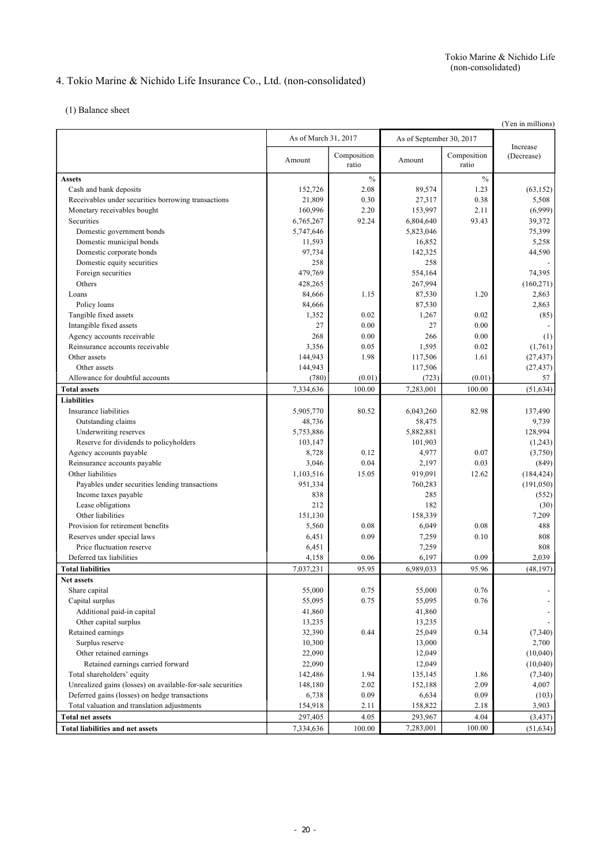# 4. Tokio Marine & Nichido Life Insurance Co., Ltd. (non-consolidated)

(1) Balance sheet

|                                                            |                      |                      |           |                          | (Yen in millions)      |  |
|------------------------------------------------------------|----------------------|----------------------|-----------|--------------------------|------------------------|--|
|                                                            | As of March 31, 2017 |                      |           | As of September 30, 2017 |                        |  |
|                                                            | Amount               | Composition<br>ratio | Amount    | Composition<br>ratio     | Increase<br>(Decrease) |  |
| <b>Assets</b>                                              |                      | $\frac{0}{0}$        |           | $\frac{0}{0}$            |                        |  |
| Cash and bank deposits                                     | 152,726              | 2.08                 | 89,574    | 1.23                     | (63, 152)              |  |
| Receivables under securities borrowing transactions        | 21,809               | 0.30                 | 27,317    | 0.38                     | 5,508                  |  |
| Monetary receivables bought                                | 160,996              | 2.20                 | 153,997   | 2.11                     | (6,999)                |  |
| Securities                                                 | 6,765,267            | 92.24                | 6,804,640 | 93.43                    | 39,372                 |  |
| Domestic government bonds                                  | 5,747,646            |                      | 5,823,046 |                          | 75,399                 |  |
| Domestic municipal bonds                                   | 11,593               |                      | 16,852    |                          | 5,258                  |  |
| Domestic corporate bonds                                   | 97,734               |                      | 142,325   |                          | 44,590                 |  |
| Domestic equity securities                                 | 258                  |                      | 258       |                          |                        |  |
| Foreign securities                                         | 479,769              |                      | 554,164   |                          | 74,395                 |  |
| Others                                                     | 428,265              |                      | 267,994   |                          | (160, 271)             |  |
| Loans                                                      | 84,666               | 1.15                 | 87,530    | 1.20                     | 2,863                  |  |
| Policy loans                                               | 84,666               |                      | 87,530    |                          | 2,863                  |  |
| Tangible fixed assets                                      | 1,352                | 0.02                 | 1,267     | 0.02                     | (85)                   |  |
| Intangible fixed assets                                    | 27                   | 0.00                 | 27        | 0.00                     |                        |  |
| Agency accounts receivable                                 | 268                  | 0.00                 | 266       | 0.00                     | (1)                    |  |
| Reinsurance accounts receivable                            | 3,356                | 0.05                 | 1,595     | 0.02                     | (1,761)                |  |
| Other assets                                               | 144,943              | 1.98                 | 117,506   | 1.61                     | (27, 437)              |  |
| Other assets                                               | 144,943              |                      | 117,506   |                          | (27, 437)              |  |
| Allowance for doubtful accounts                            | (780)                | (0.01)               | (723)     | (0.01)                   | 57                     |  |
| <b>Total assets</b>                                        | 7,334,636            | 100.00               | 7,283,001 | 100.00                   | (51, 634)              |  |
| <b>Liabilities</b>                                         |                      |                      |           |                          |                        |  |
| Insurance liabilities                                      | 5,905,770            | 80.52                | 6,043,260 | 82.98                    | 137,490                |  |
| Outstanding claims                                         | 48,736               |                      | 58,475    |                          | 9,739                  |  |
| Underwriting reserves                                      | 5,753,886            |                      | 5,882,881 |                          | 128,994                |  |
| Reserve for dividends to policyholders                     | 103,147              |                      | 101,903   |                          | (1,243)                |  |
| Agency accounts payable                                    | 8,728                | 0.12                 | 4,977     | 0.07                     | (3,750)                |  |
| Reinsurance accounts payable                               | 3,046                | 0.04                 | 2,197     | 0.03                     | (849)                  |  |
| Other liabilities                                          | 1,103,516            | 15.05                | 919,091   | 12.62                    | (184, 424)             |  |
| Payables under securities lending transactions             | 951,334              |                      | 760,283   |                          | (191, 050)             |  |
| Income taxes payable                                       | 838                  |                      | 285       |                          | (552)                  |  |
| Lease obligations                                          | 212                  |                      | 182       |                          | (30)                   |  |
| Other liabilities                                          | 151,130              |                      | 158,339   |                          | 7,209                  |  |
| Provision for retirement benefits                          | 5,560                | 0.08                 | 6,049     | 0.08                     | 488                    |  |
| Reserves under special laws                                | 6,451                | 0.09                 | 7,259     | 0.10                     | 808                    |  |
| Price fluctuation reserve                                  | 6,451                |                      | 7,259     |                          | 808                    |  |
| Deferred tax liabilities                                   | 4,158                | 0.06                 | 6,197     | 0.09                     | 2,039                  |  |
| <b>Total liabilities</b>                                   | 7,037,231            | 95.95                | 6,989,033 | 95.96                    | (48, 197)              |  |
| Net assets                                                 |                      |                      |           |                          |                        |  |
| Share capital                                              | 55,000               | 0.75                 | 55,000    | 0.76                     |                        |  |
| Capital surplus                                            | 55,095               | 0.75                 | 55,095    | 0.76                     |                        |  |
| Additional paid-in capital                                 | 41,860               |                      | 41,860    |                          |                        |  |
| Other capital surplus                                      | 13,235               |                      | 13,235    |                          |                        |  |
| Retained earnings                                          | 32,390               | 0.44                 | 25,049    | 0.34                     | (7,340)                |  |
| Surplus reserve                                            | 10,300               |                      | 13,000    |                          | 2,700                  |  |
| Other retained earnings                                    | 22,090               |                      | 12,049    |                          | (10,040)               |  |
| Retained earnings carried forward                          | 22,090               |                      | 12,049    |                          | (10,040)               |  |
| Total shareholders' equity                                 | 142,486              | 1.94                 | 135,145   | 1.86                     | (7,340)                |  |
| Unrealized gains (losses) on available-for-sale securities | 148,180              | 2.02                 | 152,188   | 2.09                     | 4,007                  |  |
| Deferred gains (losses) on hedge transactions              | 6,738                | 0.09                 | 6,634     | 0.09                     | (103)                  |  |
| Total valuation and translation adjustments                | 154,918              | 2.11                 | 158,822   | 2.18                     | 3,903                  |  |
| <b>Total net assets</b>                                    | 297,405              | 4.05                 | 293,967   | 4.04                     | (3, 437)               |  |
| <b>Total liabilities and net assets</b>                    | 7,334,636            | 100.00               | 7,283,001 | 100.00                   | (51, 634)              |  |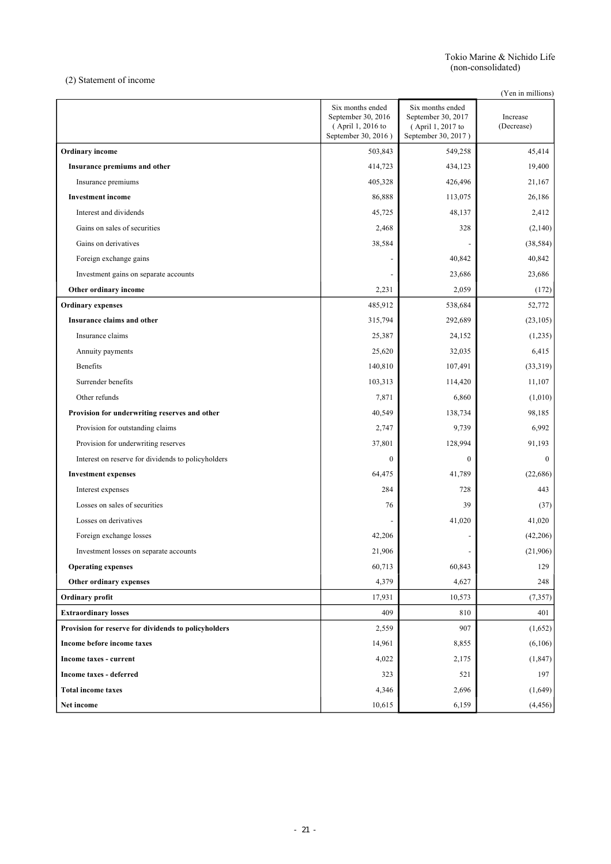Tokio Marine & Nichido Life (non-consolidated)

(2) Statement of income

(Yen in millions)

|                                                      | Six months ended<br>September 30, 2016<br>(April 1, 2016 to<br>September 30, 2016) | Six months ended<br>September 30, 2017<br>(April 1, 2017 to<br>September 30, 2017) | Increase<br>(Decrease) |
|------------------------------------------------------|------------------------------------------------------------------------------------|------------------------------------------------------------------------------------|------------------------|
| <b>Ordinary</b> income                               | 503,843                                                                            | 549,258                                                                            | 45,414                 |
| Insurance premiums and other                         | 414,723                                                                            | 434,123                                                                            | 19,400                 |
| Insurance premiums                                   | 405,328                                                                            | 426,496                                                                            | 21,167                 |
| <b>Investment</b> income                             | 86,888                                                                             | 113,075                                                                            | 26,186                 |
| Interest and dividends                               | 45,725                                                                             | 48,137                                                                             | 2,412                  |
| Gains on sales of securities                         | 2,468                                                                              | 328                                                                                | (2,140)                |
| Gains on derivatives                                 | 38,584                                                                             |                                                                                    | (38, 584)              |
| Foreign exchange gains                               |                                                                                    | 40,842                                                                             | 40,842                 |
| Investment gains on separate accounts                |                                                                                    | 23,686                                                                             | 23,686                 |
| Other ordinary income                                | 2,231                                                                              | 2,059                                                                              | (172)                  |
| <b>Ordinary expenses</b>                             | 485,912                                                                            | 538,684                                                                            | 52,772                 |
| Insurance claims and other                           | 315,794                                                                            | 292,689                                                                            | (23, 105)              |
| Insurance claims                                     | 25,387                                                                             | 24,152                                                                             | (1,235)                |
| Annuity payments                                     | 25,620                                                                             | 32,035                                                                             | 6,415                  |
| <b>Benefits</b>                                      | 140,810                                                                            | 107,491                                                                            | (33,319)               |
| Surrender benefits                                   | 103,313                                                                            | 114,420                                                                            | 11,107                 |
| Other refunds                                        | 7,871                                                                              | 6,860                                                                              | (1,010)                |
| Provision for underwriting reserves and other        | 40,549                                                                             | 138,734                                                                            | 98,185                 |
| Provision for outstanding claims                     | 2,747                                                                              | 9,739                                                                              | 6,992                  |
| Provision for underwriting reserves                  | 37,801                                                                             | 128,994                                                                            | 91,193                 |
| Interest on reserve for dividends to policyholders   | $\boldsymbol{0}$                                                                   | $\boldsymbol{0}$                                                                   | $\mathbf{0}$           |
| <b>Investment expenses</b>                           | 64,475                                                                             | 41,789                                                                             | (22, 686)              |
| Interest expenses                                    | 284                                                                                | 728                                                                                | 443                    |
| Losses on sales of securities                        | 76                                                                                 | 39                                                                                 | (37)                   |
| Losses on derivatives                                |                                                                                    | 41,020                                                                             | 41,020                 |
| Foreign exchange losses                              | 42,206                                                                             |                                                                                    | (42, 206)              |
| Investment losses on separate accounts               | 21,906                                                                             |                                                                                    | (21,906)               |
| <b>Operating expenses</b>                            | 60,713                                                                             | 60,843                                                                             | 129                    |
| Other ordinary expenses                              | 4,379                                                                              | 4,627                                                                              | 248                    |
| Ordinary profit                                      | 17,931                                                                             | 10,573                                                                             | (7, 357)               |
| <b>Extraordinary losses</b>                          | 409                                                                                | 810                                                                                | 401                    |
| Provision for reserve for dividends to policyholders | 2,559                                                                              | 907                                                                                | (1,652)                |
| Income before income taxes                           | 14,961                                                                             | 8,855                                                                              | (6,106)                |
| Income taxes - current                               | 4,022                                                                              | 2,175                                                                              | (1, 847)               |
| Income taxes - deferred                              | 323                                                                                | 521                                                                                | 197                    |
| <b>Total income taxes</b>                            | 4,346                                                                              | 2,696                                                                              | (1,649)                |
| Net income                                           | 10,615                                                                             | 6,159                                                                              | (4, 456)               |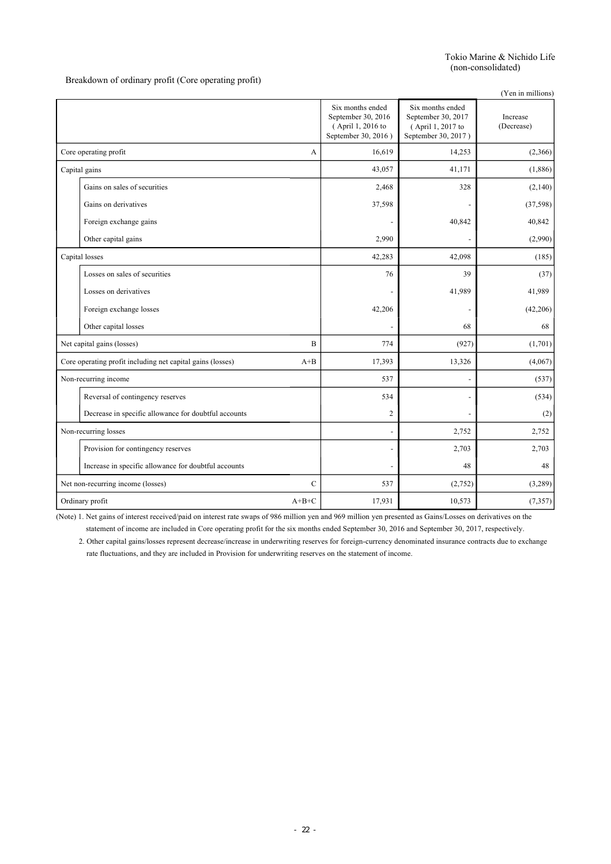Breakdown of ordinary profit (Core operating profit)

|                                                            |               |                                                                                    |                                                                                    | (Yen in millions)      |
|------------------------------------------------------------|---------------|------------------------------------------------------------------------------------|------------------------------------------------------------------------------------|------------------------|
|                                                            |               | Six months ended<br>September 30, 2016<br>(April 1, 2016 to<br>September 30, 2016) | Six months ended<br>September 30, 2017<br>(April 1, 2017 to<br>September 30, 2017) | Increase<br>(Decrease) |
| Core operating profit                                      | A             | 16,619                                                                             | 14,253                                                                             | (2,366)                |
| Capital gains                                              |               | 43,057                                                                             | 41,171                                                                             | (1,886)                |
| Gains on sales of securities                               |               | 2,468                                                                              | 328                                                                                | (2,140)                |
| Gains on derivatives                                       |               | 37,598                                                                             |                                                                                    | (37, 598)              |
| Foreign exchange gains                                     |               |                                                                                    | 40,842                                                                             | 40,842                 |
| Other capital gains                                        |               | 2,990                                                                              |                                                                                    | (2,990)                |
| Capital losses                                             |               | 42,283                                                                             | 42,098                                                                             | (185)                  |
| Losses on sales of securities                              |               | 76                                                                                 | 39                                                                                 | (37)                   |
| Losses on derivatives                                      |               |                                                                                    | 41,989                                                                             | 41,989                 |
| Foreign exchange losses                                    |               | 42,206                                                                             |                                                                                    | (42, 206)              |
| Other capital losses                                       |               |                                                                                    | 68                                                                                 | 68                     |
| Net capital gains (losses)                                 | B             | 774                                                                                | (927)                                                                              | (1,701)                |
| Core operating profit including net capital gains (losses) | $A + B$       | 17,393                                                                             | 13,326                                                                             | (4,067)                |
| Non-recurring income                                       |               | 537                                                                                |                                                                                    | (537)                  |
| Reversal of contingency reserves                           |               | 534                                                                                |                                                                                    | (534)                  |
| Decrease in specific allowance for doubtful accounts       |               | $\overline{c}$                                                                     |                                                                                    | (2)                    |
| Non-recurring losses                                       |               | $\overline{a}$                                                                     | 2,752                                                                              | 2,752                  |
| Provision for contingency reserves                         |               |                                                                                    | 2,703                                                                              | 2,703                  |
| Increase in specific allowance for doubtful accounts       |               |                                                                                    | 48                                                                                 | 48                     |
| Net non-recurring income (losses)                          | $\mathcal{C}$ | 537                                                                                | (2,752)                                                                            | (3,289)                |
| Ordinary profit                                            | $A+B+C$       | 17,931                                                                             | 10,573                                                                             | (7, 357)               |

(Note) 1. Net gains of interest received/paid on interest rate swaps of 986 million yen and 969 million yen presented as Gains/Losses on derivatives on the statement of income are included in Core operating profit for the six months ended September 30, 2016 and September 30, 2017, respectively.

2. Other capital gains/losses represent decrease/increase in underwriting reserves for foreign-currency denominated insurance contracts due to exchange rate fluctuations, and they are included in Provision for underwriting reserves on the statement of income.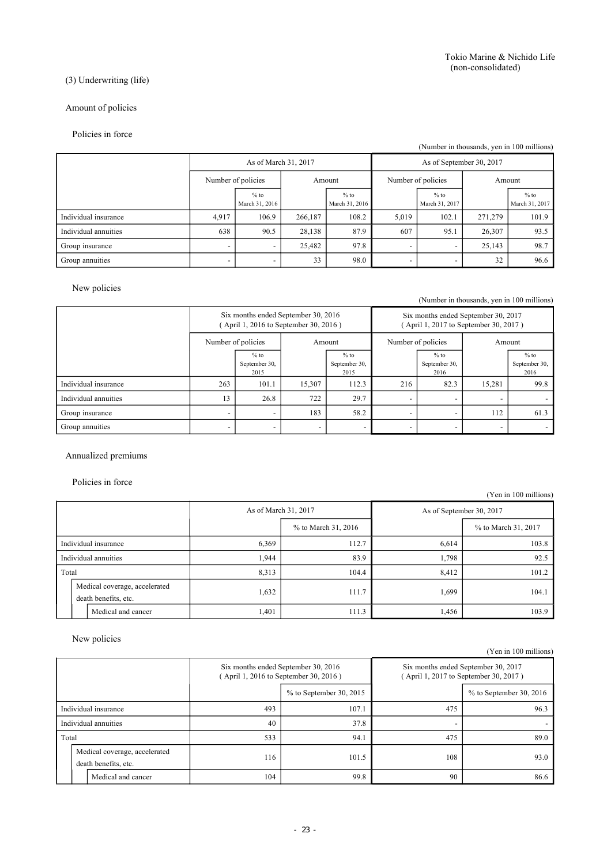# (3) Underwriting (life)

# Amount of policies

## Policies in force

### (Number in thousands, yen in 100 millions)

|                      |                          | As of March 31, 2017     |         |                          | As of September 30, 2017 |                          |         |                          |  |        |
|----------------------|--------------------------|--------------------------|---------|--------------------------|--------------------------|--------------------------|---------|--------------------------|--|--------|
|                      |                          | Number of policies       |         | Amount                   |                          | Number of policies       |         |                          |  | Amount |
|                      |                          | $%$ to<br>March 31, 2016 |         | $%$ to<br>March 31, 2016 |                          | $%$ to<br>March 31, 2017 |         | $%$ to<br>March 31, 2017 |  |        |
| Individual insurance | 4,917                    | 106.9                    | 266,187 | 108.2                    | 5,019                    | 102.1                    | 271,279 | 101.9                    |  |        |
| Individual annuities | 638                      | 90.5                     | 28,138  | 87.9                     | 607                      | 95.1                     | 26,307  | 93.5                     |  |        |
| Group insurance      | $\overline{\phantom{0}}$ | -                        | 25,482  | 97.8                     | -                        | $\overline{\phantom{a}}$ | 25,143  | 98.7                     |  |        |
| Group annuities      | $\overline{\phantom{0}}$ | -                        | 33      | 98.0                     | -                        | $\overline{\phantom{a}}$ | 32      | 96.6                     |  |        |

# New policies

(Number in thousands, yen in 100 millions)

|                      | Six months ended September 30, 2016<br>(April 1, 2016 to September 30, 2016) |                                 |        |                                 | Six months ended September 30, 2017<br>April 1, 2017 to September 30, 2017) |                                 |                    |                                 |        |
|----------------------|------------------------------------------------------------------------------|---------------------------------|--------|---------------------------------|-----------------------------------------------------------------------------|---------------------------------|--------------------|---------------------------------|--------|
|                      |                                                                              | Number of policies              |        | Amount                          |                                                                             |                                 | Number of policies |                                 | Amount |
|                      |                                                                              | $%$ to<br>September 30,<br>2015 |        | $%$ to<br>September 30,<br>2015 |                                                                             | $%$ to<br>September 30,<br>2016 |                    | $%$ to<br>September 30,<br>2016 |        |
| Individual insurance | 263                                                                          | 101.1                           | 15,307 | 112.3                           | 216                                                                         | 82.3                            | 15.281             | 99.8                            |        |
| Individual annuities | 13                                                                           | 26.8                            | 722    | 29.7                            | $\overline{\phantom{0}}$                                                    | $\overline{\phantom{0}}$        |                    |                                 |        |
| Group insurance      | $\overline{\phantom{0}}$                                                     |                                 | 183    | 58.2                            |                                                                             |                                 | 112                | 61.3                            |        |
| Group annuities      | $\overline{\phantom{0}}$                                                     |                                 |        | -                               |                                                                             | $\overline{\phantom{0}}$        |                    |                                 |        |

# Annualized premiums

## Policies in force

|                      |                                                       |       |                      |                          | (Yen in 100 millions) |  |
|----------------------|-------------------------------------------------------|-------|----------------------|--------------------------|-----------------------|--|
|                      |                                                       |       | As of March 31, 2017 | As of September 30, 2017 |                       |  |
|                      |                                                       |       | % to March 31, 2016  |                          | % to March 31, 2017   |  |
| Individual insurance |                                                       | 6,369 | 112.7                | 6,614                    | 103.8                 |  |
| Individual annuities |                                                       | 1.944 | 83.9                 | 1,798                    | 92.5                  |  |
| Total                |                                                       | 8,313 | 104.4                | 8,412                    | 101.2                 |  |
|                      | Medical coverage, accelerated<br>death benefits, etc. | 1,632 | 111.7                | 1,699                    | 104.1                 |  |
|                      | Medical and cancer                                    | 1,401 | 111.3                | 1,456                    | 103.9                 |  |

## New policies

|                      |                                                       |                                                                              |                           |     | (Yen in 100 millions)                                                        |
|----------------------|-------------------------------------------------------|------------------------------------------------------------------------------|---------------------------|-----|------------------------------------------------------------------------------|
|                      |                                                       | Six months ended September 30, 2016<br>(April 1, 2016 to September 30, 2016) |                           |     | Six months ended September 30, 2017<br>(April 1, 2017 to September 30, 2017) |
|                      |                                                       |                                                                              | $%$ to September 30, 2015 |     | $%$ to September 30, 2016                                                    |
| Individual insurance |                                                       | 493                                                                          | 107.1                     | 475 | 96.3                                                                         |
|                      | Individual annuities                                  | 40                                                                           | 37.8                      |     |                                                                              |
| Total                |                                                       | 533                                                                          | 94.1                      | 475 | 89.0                                                                         |
|                      | Medical coverage, accelerated<br>death benefits, etc. | 116                                                                          | 101.5                     | 108 | 93.0                                                                         |
|                      | Medical and cancer                                    | 104                                                                          | 99.8                      | 90  | 86.6                                                                         |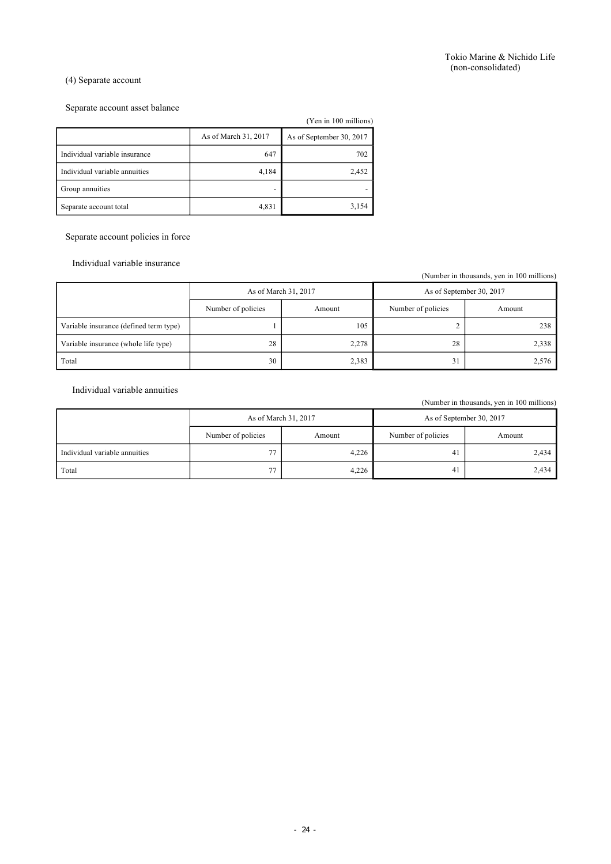### (4) Separate account

## Separate account asset balance

|                               |                      | (Yen in 100 millions)    |
|-------------------------------|----------------------|--------------------------|
|                               | As of March 31, 2017 | As of September 30, 2017 |
| Individual variable insurance | 647                  | 702                      |
| Individual variable annuities | 4,184                | 2,452                    |
| Group annuities               |                      |                          |
| Separate account total        | 4,831                | 3,154                    |

Separate account policies in force

Individual variable insurance

(Number in thousands, yen in 100 millions)

|                                        | As of March 31, 2017 |        | As of September 30, 2017 |        |
|----------------------------------------|----------------------|--------|--------------------------|--------|
|                                        | Number of policies   | Amount | Number of policies       | Amount |
| Variable insurance (defined term type) |                      | 105    |                          | 238    |
| Variable insurance (whole life type)   | 28                   | 2,278  | 28                       | 2,338  |
| Total                                  | 30                   | 2,383  | 31                       | 2,576  |

Individual variable annuities

(Number in thousands, yen in 100 millions)

|                               | As of March 31, 2017         |       | As of September 30, 2017 |        |
|-------------------------------|------------------------------|-------|--------------------------|--------|
|                               | Number of policies<br>Amount |       | Number of policies       | Amount |
| Individual variable annuities | 77                           | 4,226 | 41                       | 2,434  |
| Total                         | 77                           | 4,226 | 41                       | 2,434  |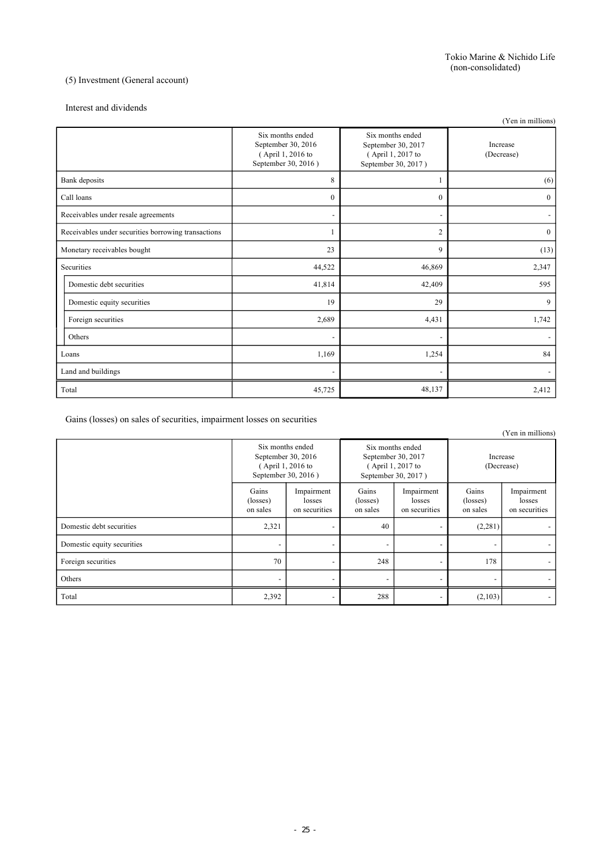## (5) Investment (General account)

#### Interest and dividends

|                                                     |                                                                                    |                                                                                    | (Yen in millions)      |
|-----------------------------------------------------|------------------------------------------------------------------------------------|------------------------------------------------------------------------------------|------------------------|
|                                                     | Six months ended<br>September 30, 2016<br>(April 1, 2016 to<br>September 30, 2016) | Six months ended<br>September 30, 2017<br>(April 1, 2017 to<br>September 30, 2017) | Increase<br>(Decrease) |
| Bank deposits                                       | 8                                                                                  |                                                                                    | (6)                    |
| Call loans                                          | $\theta$                                                                           | $\theta$                                                                           | $\mathbf{0}$           |
| Receivables under resale agreements                 | $\overline{a}$                                                                     |                                                                                    |                        |
| Receivables under securities borrowing transactions | 1                                                                                  | $\overline{c}$                                                                     | $\mathbf{0}$           |
| Monetary receivables bought                         | 23                                                                                 | 9                                                                                  | (13)                   |
| Securities                                          | 44,522                                                                             | 46,869                                                                             | 2,347                  |
| Domestic debt securities                            | 41,814                                                                             | 42,409                                                                             | 595                    |
| Domestic equity securities                          | 19                                                                                 | 29                                                                                 | 9                      |
| Foreign securities                                  | 2,689                                                                              | 4,431                                                                              | 1,742                  |
| Others                                              | $\overline{\phantom{a}}$                                                           |                                                                                    |                        |
| Loans                                               | 1,169                                                                              | 1,254                                                                              | 84                     |
| Land and buildings                                  |                                                                                    |                                                                                    |                        |
| Total                                               | 45,725                                                                             | 48,137                                                                             | 2,412                  |

Gains (losses) on sales of securities, impairment losses on securities

|                            |                                                                                    |                                       |                                                                                    |                                       |                               | (Yen in millions)                     |
|----------------------------|------------------------------------------------------------------------------------|---------------------------------------|------------------------------------------------------------------------------------|---------------------------------------|-------------------------------|---------------------------------------|
|                            | Six months ended<br>September 30, 2016<br>(April 1, 2016 to<br>September 30, 2016) |                                       | Six months ended<br>September 30, 2017<br>(April 1, 2017 to<br>September 30, 2017) |                                       | Increase<br>(Decrease)        |                                       |
|                            | Gains<br>(losses)<br>on sales                                                      | Impairment<br>losses<br>on securities | Gains<br>(losses)<br>on sales                                                      | Impairment<br>losses<br>on securities | Gains<br>(losses)<br>on sales | Impairment<br>losses<br>on securities |
| Domestic debt securities   | 2,321                                                                              | -                                     | 40                                                                                 |                                       | (2, 281)                      |                                       |
| Domestic equity securities | $\overline{\phantom{0}}$                                                           | -                                     | $\overline{\phantom{0}}$                                                           | $\overline{\phantom{0}}$              | $\overline{\phantom{a}}$      |                                       |
| Foreign securities         | 70                                                                                 | -                                     | 248                                                                                | $\overline{\phantom{0}}$              | 178                           |                                       |
| Others                     | $\overline{\phantom{0}}$                                                           | $\overline{\phantom{a}}$              | $\overline{\phantom{0}}$                                                           | $\overline{\phantom{0}}$              | $\overline{\phantom{a}}$      |                                       |
| Total                      | 2,392                                                                              |                                       | 288                                                                                |                                       | (2,103)                       |                                       |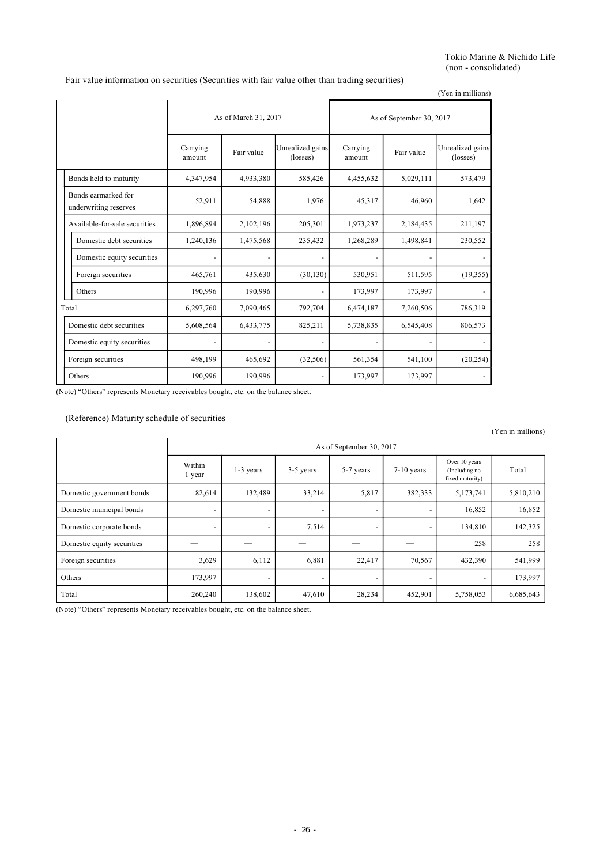Tokio Marine & Nichido Life (non - consolidated)

Fair value information on securities (Securities with fair value other than trading securities)

(Yen in millions)

|                                              | As of March 31, 2017 |            |                              | As of September 30, 2017 |            |                              |
|----------------------------------------------|----------------------|------------|------------------------------|--------------------------|------------|------------------------------|
|                                              | Carrying<br>amount   | Fair value | Unrealized gains<br>(losses) | Carrying<br>amount       | Fair value | Unrealized gains<br>(losses) |
| Bonds held to maturity                       | 4,347,954            | 4,933,380  | 585,426                      | 4,455,632                | 5,029,111  | 573,479                      |
| Bonds earmarked for<br>underwriting reserves | 52,911               | 54,888     | 1,976                        | 45,317                   | 46.960     | 1,642                        |
| Available-for-sale securities<br>1,896,894   |                      | 2,102,196  | 205,301                      | 1,973,237                | 2,184,435  | 211,197                      |
| Domestic debt securities                     | 1,240,136            | 1,475,568  | 235,432                      | 1,268,289                | 1,498,841  | 230,552                      |
| Domestic equity securities                   |                      |            |                              |                          |            |                              |
| Foreign securities                           | 465,761              | 435,630    | (30, 130)                    | 530,951                  | 511,595    | (19,355)                     |
| Others                                       | 190,996              | 190,996    |                              | 173,997                  | 173,997    |                              |
| Total                                        | 6,297,760            | 7,090,465  | 792,704                      | 6,474,187                | 7,260,506  | 786,319                      |
| Domestic debt securities                     | 5,608,564            | 6,433,775  | 825,211                      | 5,738,835                | 6,545,408  | 806,573                      |
| Domestic equity securities                   |                      |            |                              |                          |            |                              |
| Foreign securities                           | 498,199              | 465,692    | (32, 506)                    | 561,354                  | 541,100    | (20, 254)                    |
| Others                                       | 190,996              | 190,996    |                              | 173,997                  | 173,997    |                              |

(Note) "Others" represents Monetary receivables bought, etc. on the balance sheet.

## (Reference) Maturity schedule of securities

|                            |                          |                          |           |           |                          |                                                   | (Yen in millions) |  |  |  |
|----------------------------|--------------------------|--------------------------|-----------|-----------|--------------------------|---------------------------------------------------|-------------------|--|--|--|
|                            |                          | As of September 30, 2017 |           |           |                          |                                                   |                   |  |  |  |
|                            | Within<br>l year         | 1-3 years                | 3-5 years | 5-7 years | $7-10$ years             | Over 10 years<br>(Including no<br>fixed maturity) | Total             |  |  |  |
| Domestic government bonds  | 82,614                   | 132,489                  | 33,214    | 5,817     | 382,333                  | 5,173,741                                         | 5,810,210         |  |  |  |
| Domestic municipal bonds   | $\overline{\phantom{a}}$ | -                        |           |           | -                        | 16,852                                            | 16,852            |  |  |  |
| Domestic corporate bonds   | $\overline{\phantom{a}}$ | $\overline{\phantom{a}}$ | 7,514     |           | $\overline{\phantom{a}}$ | 134,810                                           | 142,325           |  |  |  |
| Domestic equity securities |                          |                          |           |           |                          | 258                                               | 258               |  |  |  |
| Foreign securities         | 3,629                    | 6,112                    | 6,881     | 22,417    | 70,567                   | 432,390                                           | 541,999           |  |  |  |
| Others                     | 173,997                  | -                        |           |           | $\overline{\phantom{0}}$ | $\overline{\phantom{0}}$                          | 173,997           |  |  |  |
| Total                      | 260,240                  | 138,602                  | 47,610    | 28,234    | 452,901                  | 5,758,053                                         | 6,685,643         |  |  |  |

(Note) "Others" represents Monetary receivables bought, etc. on the balance sheet.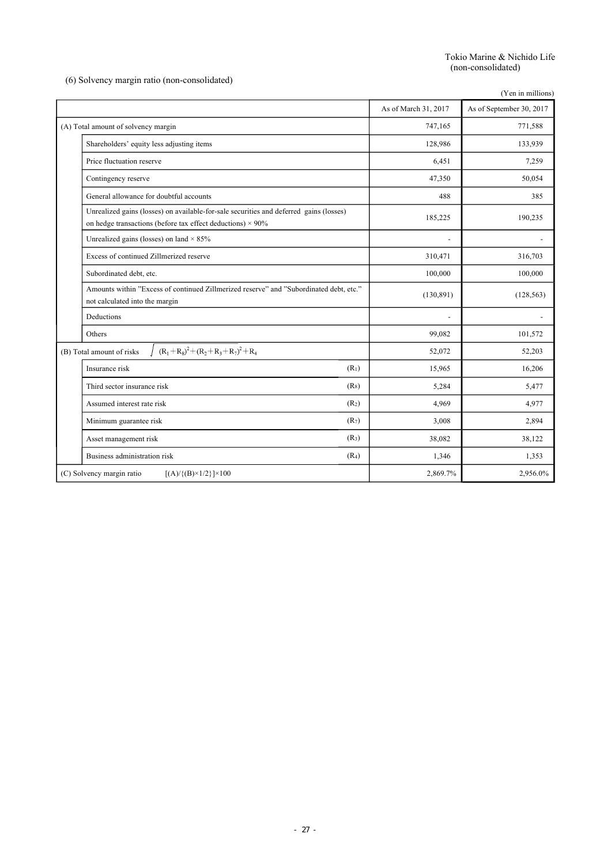Tokio Marine & Nichido Life (non-consolidated)

(6) Solvency margin ratio (non-consolidated)

|                                                                                                                                                             |                          | (Yen in millions)        |
|-------------------------------------------------------------------------------------------------------------------------------------------------------------|--------------------------|--------------------------|
|                                                                                                                                                             | As of March 31, 2017     | As of September 30, 2017 |
| (A) Total amount of solvency margin                                                                                                                         | 747,165                  | 771,588                  |
| Shareholders' equity less adjusting items                                                                                                                   | 128,986                  | 133,939                  |
| Price fluctuation reserve                                                                                                                                   | 6,451                    | 7,259                    |
| Contingency reserve                                                                                                                                         | 47,350                   | 50,054                   |
| General allowance for doubtful accounts                                                                                                                     | 488                      | 385                      |
| Unrealized gains (losses) on available-for-sale securities and deferred gains (losses)<br>on hedge transactions (before tax effect deductions) $\times$ 90% | 185,225                  | 190,235                  |
| Unrealized gains (losses) on land $\times$ 85%                                                                                                              | $\overline{\phantom{0}}$ |                          |
| Excess of continued Zillmerized reserve                                                                                                                     | 310,471                  | 316,703                  |
| Subordinated debt, etc.                                                                                                                                     | 100,000                  | 100,000                  |
| Amounts within "Excess of continued Zillmerized reserve" and "Subordinated debt, etc."<br>not calculated into the margin                                    | (130, 891)               | (128, 563)               |
| Deductions                                                                                                                                                  |                          |                          |
| Others                                                                                                                                                      | 99,082                   | 101,572                  |
| $(R_1+R_8)^2+(R_2+R_3+R_7)^2+R_4$<br>(B) Total amount of risks                                                                                              | 52,072                   | 52,203                   |
| (R <sub>1</sub> )<br>Insurance risk                                                                                                                         | 15,965                   | 16,206                   |
| $(R_8)$<br>Third sector insurance risk                                                                                                                      | 5,284                    | 5,477                    |
| (R <sub>2</sub> )<br>Assumed interest rate risk                                                                                                             | 4,969                    | 4,977                    |
| (R <sub>7</sub> )<br>Minimum guarantee risk                                                                                                                 | 3,008                    | 2,894                    |
| (R <sub>3</sub> )<br>Asset management risk                                                                                                                  | 38,082                   | 38,122                   |
| Business administration risk<br>(R <sub>4</sub> )                                                                                                           | 1,346                    | 1,353                    |
| (C) Solvency margin ratio<br>$[(A) / {(B) \times 1/2}] \times 100$                                                                                          | 2,869.7%                 | 2,956.0%                 |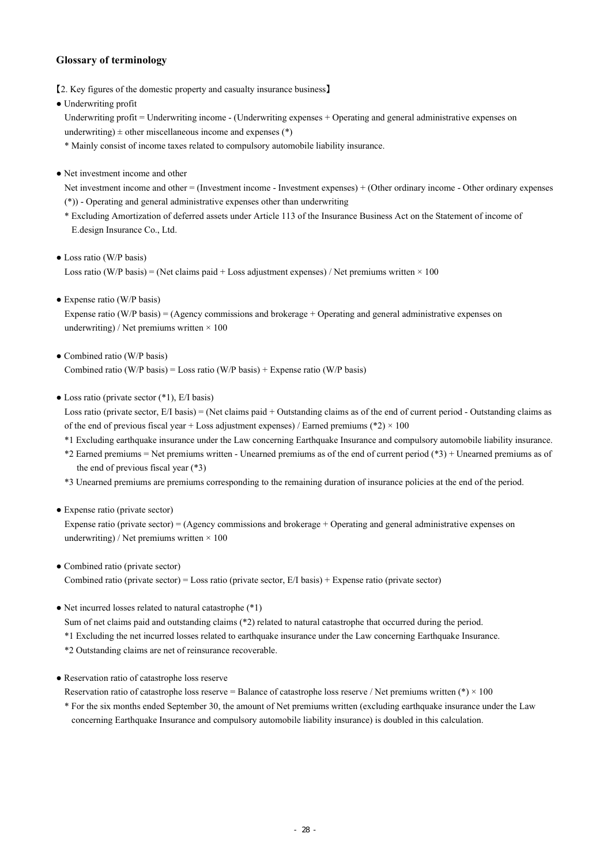# **Glossary of terminology**

- 【2. Key figures of the domestic property and casualty insurance business】
- Underwriting profit

Underwriting profit = Underwriting income - (Underwriting expenses + Operating and general administrative expenses on underwriting)  $\pm$  other miscellaneous income and expenses (\*)

\* Mainly consist of income taxes related to compulsory automobile liability insurance.

• Net investment income and other

Net investment income and other = (Investment income - Investment expenses) + (Other ordinary income - Other ordinary expenses (\*)) - Operating and general administrative expenses other than underwriting

- \* Excluding Amortization of deferred assets under Article 113 of the Insurance Business Act on the Statement of income of E.design Insurance Co., Ltd.
- Loss ratio (W/P basis) Loss ratio (W/P basis) = (Net claims paid + Loss adjustment expenses) / Net premiums written  $\times$  100
- Expense ratio (W/P basis)

Expense ratio (W/P basis) = (Agency commissions and brokerage + Operating and general administrative expenses on underwriting) / Net premiums written  $\times$  100

- Combined ratio (W/P basis) Combined ratio (W/P basis) = Loss ratio (W/P basis) + Expense ratio (W/P basis)
- $\bullet$  Loss ratio (private sector  $(*1)$ , E/I basis)

Loss ratio (private sector, E/I basis) = (Net claims paid + Outstanding claims as of the end of current period - Outstanding claims as of the end of previous fiscal year + Loss adjustment expenses) / Earned premiums (\*2)  $\times$  100

- \*1 Excluding earthquake insurance under the Law concerning Earthquake Insurance and compulsory automobile liability insurance.
- \*2 Earned premiums = Net premiums written Unearned premiums as of the end of current period (\*3) + Unearned premiums as of the end of previous fiscal year (\*3)
- \*3 Unearned premiums are premiums corresponding to the remaining duration of insurance policies at the end of the period.
- Expense ratio (private sector)

Expense ratio (private sector) = (Agency commissions and brokerage + Operating and general administrative expenses on underwriting) / Net premiums written  $\times$  100

- Combined ratio (private sector) Combined ratio (private sector) = Loss ratio (private sector, E/I basis) + Expense ratio (private sector)
- Net incurred losses related to natural catastrophe (\*1)

Sum of net claims paid and outstanding claims (\*2) related to natural catastrophe that occurred during the period.

- \*1 Excluding the net incurred losses related to earthquake insurance under the Law concerning Earthquake Insurance.
- \*2 Outstanding claims are net of reinsurance recoverable.
- Reservation ratio of catastrophe loss reserve

Reservation ratio of catastrophe loss reserve = Balance of catastrophe loss reserve / Net premiums written (\*)  $\times$  100

\* For the six months ended September 30, the amount of Net premiums written (excluding earthquake insurance under the Law concerning Earthquake Insurance and compulsory automobile liability insurance) is doubled in this calculation.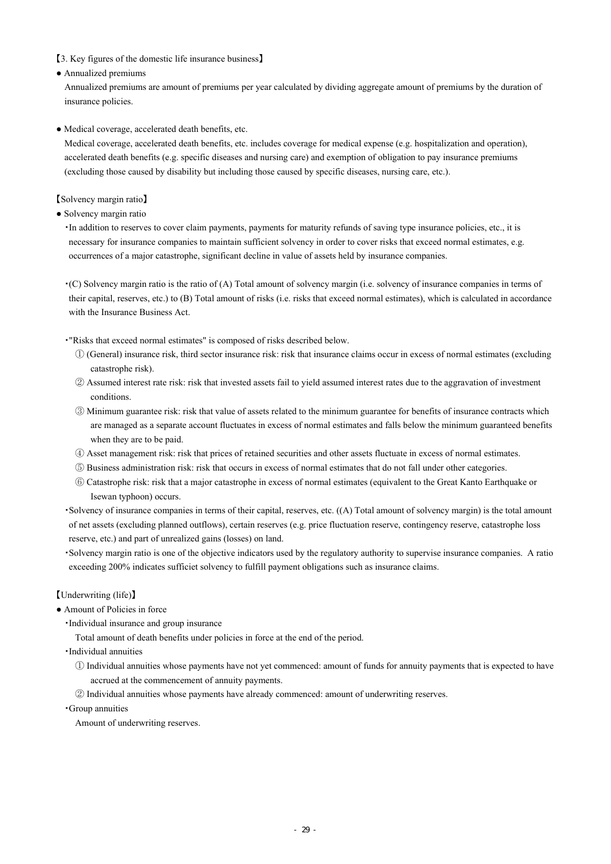【3. Key figures of the domestic life insurance business】

● Annualized premiums

Annualized premiums are amount of premiums per year calculated by dividing aggregate amount of premiums by the duration of insurance policies.

● Medical coverage, accelerated death benefits, etc.

Medical coverage, accelerated death benefits, etc. includes coverage for medical expense (e.g. hospitalization and operation), accelerated death benefits (e.g. specific diseases and nursing care) and exemption of obligation to pay insurance premiums (excluding those caused by disability but including those caused by specific diseases, nursing care, etc.).

【Solvency margin ratio】

● Solvency margin ratio

・In addition to reserves to cover claim payments, payments for maturity refunds of saving type insurance policies, etc., it is necessary for insurance companies to maintain sufficient solvency in order to cover risks that exceed normal estimates, e.g. occurrences of a major catastrophe, significant decline in value of assets held by insurance companies.

・(C) Solvency margin ratio is the ratio of (A) Total amount of solvency margin (i.e. solvency of insurance companies in terms of their capital, reserves, etc.) to (B) Total amount of risks (i.e. risks that exceed normal estimates), which is calculated in accordance with the Insurance Business Act.

・"Risks that exceed normal estimates" is composed of risks described below.

- ① (General) insurance risk, third sector insurance risk: risk that insurance claims occur in excess of normal estimates (excluding catastrophe risk).
- ② Assumed interest rate risk: risk that invested assets fail to yield assumed interest rates due to the aggravation of investment conditions.
- ③ Minimum guarantee risk: risk that value of assets related to the minimum guarantee for benefits of insurance contracts which are managed as a separate account fluctuates in excess of normal estimates and falls below the minimum guaranteed benefits when they are to be paid.
- ④ Asset management risk: risk that prices of retained securities and other assets fluctuate in excess of normal estimates.
- ⑤ Business administration risk: risk that occurs in excess of normal estimates that do not fall under other categories.
- ⑥ Catastrophe risk: risk that a major catastrophe in excess of normal estimates (equivalent to the Great Kanto Earthquake or Isewan typhoon) occurs.
- ・Solvency of insurance companies in terms of their capital, reserves, etc. ((A) Total amount of solvency margin) is the total amount of net assets (excluding planned outflows), certain reserves (e.g. price fluctuation reserve, contingency reserve, catastrophe loss reserve, etc.) and part of unrealized gains (losses) on land.
- ・Solvency margin ratio is one of the objective indicators used by the regulatory authority to supervise insurance companies. A ratio exceeding 200% indicates sufficiet solvency to fulfill payment obligations such as insurance claims.

# 【Underwriting (life)】

- Amount of Policies in force
	- ・Individual insurance and group insurance
		- Total amount of death benefits under policies in force at the end of the period.
	- ・Individual annuities
		- ① Individual annuities whose payments have not yet commenced: amount of funds for annuity payments that is expected to have accrued at the commencement of annuity payments.
		- ② Individual annuities whose payments have already commenced: amount of underwriting reserves.
	- ・Group annuities

Amount of underwriting reserves.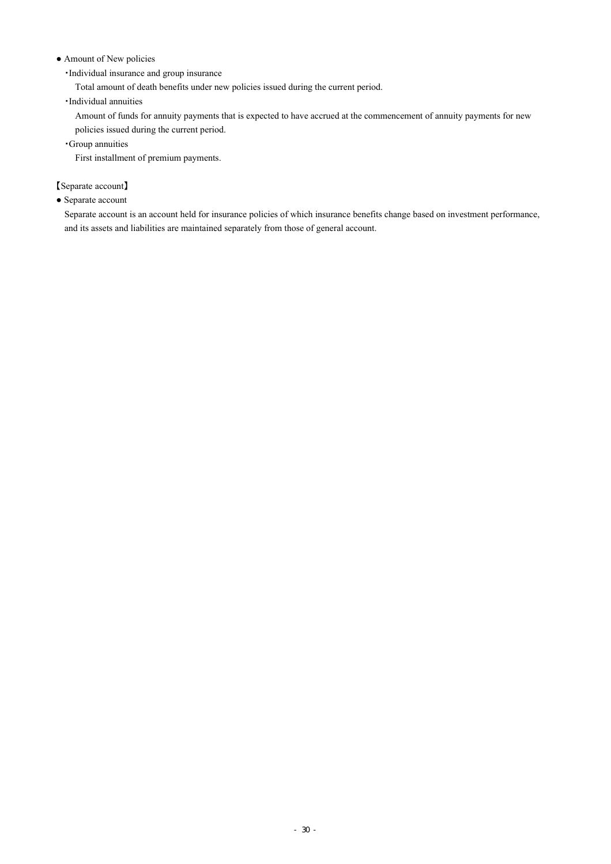### • Amount of New policies

・Individual insurance and group insurance

Total amount of death benefits under new policies issued during the current period.

・Individual annuities

Amount of funds for annuity payments that is expected to have accrued at the commencement of annuity payments for new policies issued during the current period.

・Group annuities

First installment of premium payments.

【Separate account】

● Separate account

Separate account is an account held for insurance policies of which insurance benefits change based on investment performance, and its assets and liabilities are maintained separately from those of general account.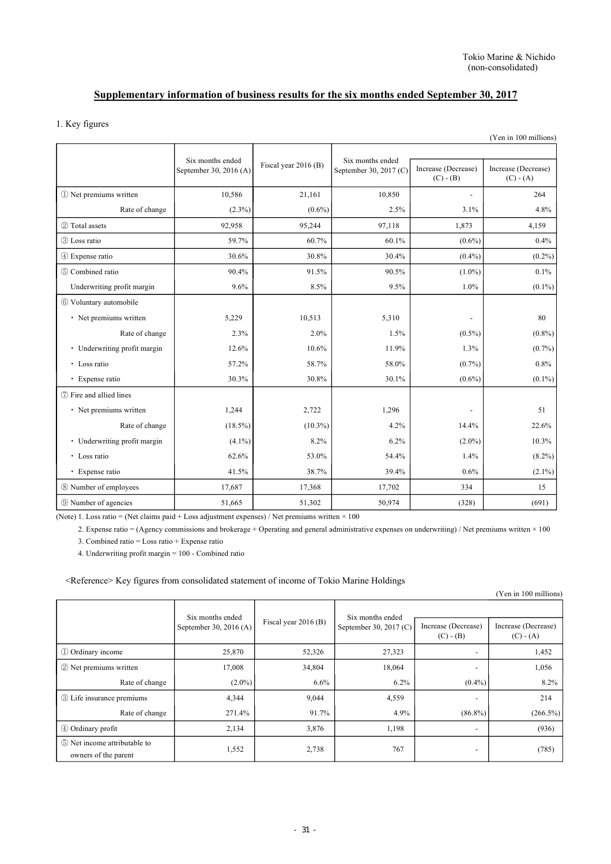# **Supplementary information of business results for the six months ended September 30, 2017**

## 1. Key figures

|                              |                                            |                      |                                            |                                    | (Yen in 100 millions)              |
|------------------------------|--------------------------------------------|----------------------|--------------------------------------------|------------------------------------|------------------------------------|
|                              | Six months ended<br>September 30, 2016 (A) | Fiscal year 2016 (B) | Six months ended<br>September 30, 2017 (C) | Increase (Decrease)<br>$(C) - (B)$ | Increase (Decrease)<br>$(C) - (A)$ |
| 1 Net premiums written       | 10,586                                     | 21.161               | 10,850                                     | $\overline{\phantom{a}}$           | 264                                |
| Rate of change               | $(2.3\%)$                                  | $(0.6\%)$            | 2.5%                                       | 3.1%                               | 4.8%                               |
| 2 Total assets               | 92,958                                     | 95,244               | 97,118                                     | 1,873                              | 4,159                              |
| 3 Loss ratio                 | 59.7%                                      | 60.7%                | 60.1%                                      | $(0.6\%)$                          | 0.4%                               |
| 4 Expense ratio              | 30.6%                                      | 30.8%                | 30.4%                                      | $(0.4\%)$                          | $(0.2\%)$                          |
| 5 Combined ratio             | 90.4%                                      | 91.5%                | 90.5%                                      | $(1.0\%)$                          | 0.1%                               |
| Underwriting profit margin   | 9.6%                                       | 8.5%                 | 9.5%                                       | 1.0%                               | $(0.1\%)$                          |
| 6 Voluntary automobile       |                                            |                      |                                            |                                    |                                    |
| • Net premiums written       | 5,229                                      | 10,513               | 5,310                                      |                                    | 80                                 |
| Rate of change               | 2.3%                                       | 2.0%                 | 1.5%                                       | $(0.5\%)$                          | $(0.8\%)$                          |
| • Underwriting profit margin | 12.6%                                      | 10.6%                | 11.9%                                      | 1.3%                               | $(0.7\%)$                          |
| · Loss ratio                 | 57.2%                                      | 58.7%                | 58.0%                                      | $(0.7\%)$                          | 0.8%                               |
| · Expense ratio              | 30.3%                                      | 30.8%                | 30.1%                                      | $(0.6\%)$                          | $(0.1\%)$                          |
| (7) Fire and allied lines    |                                            |                      |                                            |                                    |                                    |
| • Net premiums written       | 1,244                                      | 2,722                | 1,296                                      |                                    | 51                                 |
| Rate of change               | $(18.5\%)$                                 | $(10.3\%)$           | 4.2%                                       | 14.4%                              | 22.6%                              |
| • Underwriting profit margin | $(4.1\%)$                                  | 8.2%                 | 6.2%                                       | $(2.0\%)$                          | 10.3%                              |
| • Loss ratio                 | 62.6%                                      | 53.0%                | 54.4%                                      | 1.4%                               | $(8.2\%)$                          |
| · Expense ratio              | 41.5%                                      | 38.7%                | 39.4%                                      | 0.6%                               | $(2.1\%)$                          |
| 8 Number of employees        | 17,687                                     | 17,368               | 17,702                                     | 334                                | 15                                 |
| <b>9 Number of agencies</b>  | 51,665                                     | 51,302               | 50,974                                     | (328)                              | (691)                              |

(Note) 1. Loss ratio = (Net claims paid + Loss adjustment expenses) / Net premiums written × 100

2. Expense ratio = (Agency commissions and brokerage + Operating and general administrative expenses on underwriting) / Net premiums written × 100 3. Combined ratio = Loss ratio + Expense ratio

4. Underwriting profit margin = 100 - Combined ratio

<Reference> Key figures from consolidated statement of income of Tokio Marine Holdings

| $\overline{\phantom{a}}$<br>ັ                        |                        |                        |                        |                                    | (Yen in 100 millions)              |
|------------------------------------------------------|------------------------|------------------------|------------------------|------------------------------------|------------------------------------|
|                                                      | Six months ended       |                        | Six months ended       |                                    |                                    |
|                                                      | September 30, 2016 (A) | Fiscal year $2016$ (B) | September 30, 2017 (C) | Increase (Decrease)<br>$(C) - (B)$ | Increase (Decrease)<br>$(C) - (A)$ |
| 1 Ordinary income                                    | 25,870                 | 52,326                 | 27,323                 | $\overline{\phantom{a}}$           | 1,452                              |
| 2 Net premiums written                               | 17,008                 | 34,804                 | 18,064                 | $\overline{\phantom{0}}$           | 1,056                              |
| Rate of change                                       | $(2.0\%)$              | 6.6%                   | 6.2%                   | $(0.4\%)$                          | 8.2%                               |
| <b>3</b> Life insurance premiums                     | 4,344                  | 9,044                  | 4,559                  | $\overline{\phantom{0}}$           | 214                                |
| Rate of change                                       | 271.4%                 | 91.7%                  | 4.9%                   | $(86.8\%)$                         | $(266.5\%)$                        |
| 4 Ordinary profit                                    | 2,134                  | 3,876                  | 1,198                  | $\overline{\phantom{0}}$           | (936)                              |
| 5 Net income attributable to<br>owners of the parent | 1,552                  | 2,738                  | 767                    | $\overline{\phantom{a}}$           | (785)                              |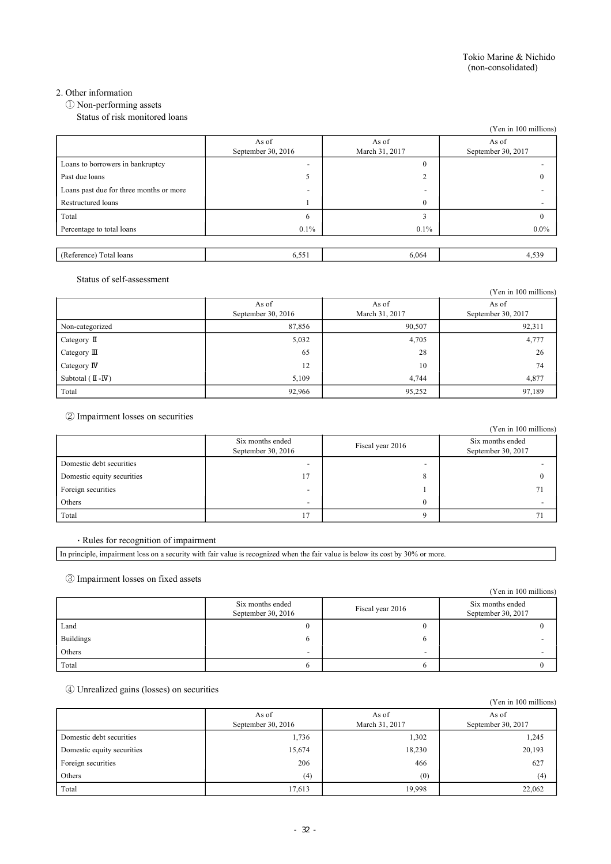### 2. Other information

① Non-performing assets

Status of risk monitored loans

|                                         |                          |                          | (Yen in 100 millions) |
|-----------------------------------------|--------------------------|--------------------------|-----------------------|
|                                         | As of                    | As of                    | As of                 |
|                                         | September 30, 2016       | March 31, 2017           | September 30, 2017    |
| Loans to borrowers in bankruptcy        | $\overline{\phantom{a}}$ | $\theta$                 |                       |
| Past due loans                          | 5                        | $\sim$                   | $\mathbf{0}$          |
| Loans past due for three months or more | $\overline{\phantom{0}}$ | $\overline{\phantom{0}}$ |                       |
| Restructured loans                      |                          | $\theta$                 |                       |
| Total                                   | 6                        | n.                       | 0                     |
| Percentage to total loans               | $0.1\%$                  | $0.1\%$                  | $0.0\%$               |
|                                         |                          |                          |                       |
| (Reference) Total loans                 | 6,551                    | 6,064                    | 4,539                 |

#### Status of self-assessment

|                                      |                               |                         | (Yen in 100 millions)       |
|--------------------------------------|-------------------------------|-------------------------|-----------------------------|
|                                      | As of<br>September 30, $2016$ | As of<br>March 31, 2017 | As of<br>September 30, 2017 |
| Non-categorized                      | 87,856                        | 90,507                  | 92,311                      |
| Category $\mathbb I$                 | 5,032                         | 4,705                   | 4,777                       |
| Category $\mathbb{II}$               | 65                            | 28                      | 26                          |
| Category $\mathbb{N}$                | 12                            | 10                      | 74                          |
| Subtotal $(\mathbb{I} -\mathbb{I}V)$ | 5,109                         | 4.744                   | 4,877                       |
| Total                                | 92,966                        | 95,252                  | 97,189                      |

② Impairment losses on securities

|                            |                                          |                  | (Yen in 100 millions)                  |
|----------------------------|------------------------------------------|------------------|----------------------------------------|
|                            | Six months ended<br>September 30, $2016$ | Fiscal year 2016 | Six months ended<br>September 30, 2017 |
| Domestic debt securities   |                                          |                  |                                        |
| Domestic equity securities | 17                                       |                  |                                        |
| Foreign securities         | -                                        |                  |                                        |
| Others                     | $\overline{\phantom{0}}$                 |                  |                                        |
| Total                      |                                          |                  |                                        |

#### ・ Rules for recognition of impairment

In principle, impairment loss on a security with fair value is recognized when the fair value is below its cost by 30% or more.

③ Impairment losses on fixed assets

|                  |                                          |                          | (Yen in 100 millions)                  |
|------------------|------------------------------------------|--------------------------|----------------------------------------|
|                  | Six months ended<br>September 30, $2016$ | Fiscal year 2016         | Six months ended<br>September 30, 2017 |
| Land             |                                          |                          |                                        |
| <b>Buildings</b> | h                                        |                          |                                        |
| Others           | $\overline{\phantom{a}}$                 | $\overline{\phantom{0}}$ |                                        |
| Total            |                                          |                          |                                        |

## ④ Unrealized gains (losses) on securities

|                            |                             |                         | (Yen in 100 millions)       |
|----------------------------|-----------------------------|-------------------------|-----------------------------|
|                            | As of<br>September 30, 2016 | As of<br>March 31, 2017 | As of<br>September 30, 2017 |
| Domestic debt securities   | 1,736                       | 1,302                   | 1,245                       |
| Domestic equity securities | 15,674                      | 18,230                  | 20,193                      |
| Foreign securities         | 206                         | 466                     | 627                         |
| Others                     | (4)                         | (0)                     | (4)                         |
| Total                      | 17,613                      | 19,998                  | 22,062                      |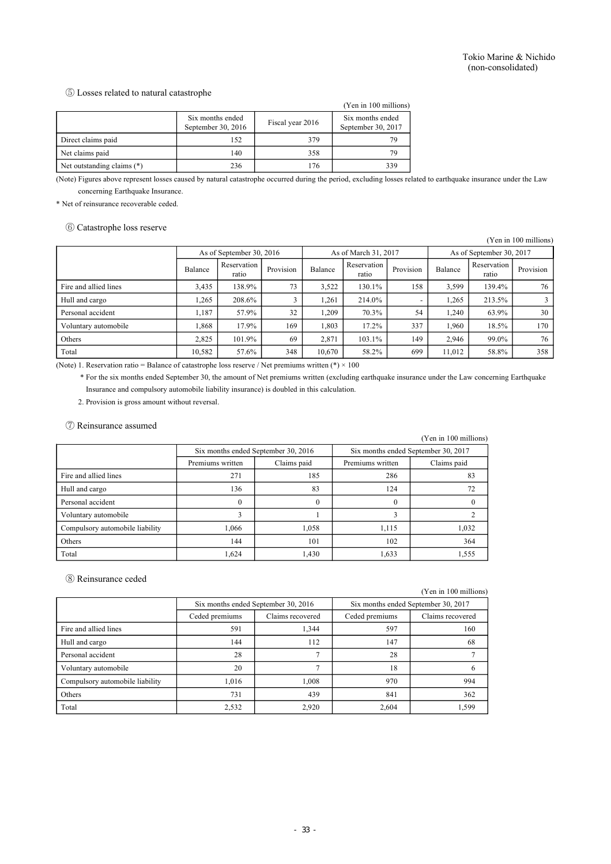#### ⑤ Losses related to natural catastrophe

|                            |                                          |                  | (Yen in 100 millions)                  |
|----------------------------|------------------------------------------|------------------|----------------------------------------|
|                            | Six months ended<br>September 30, $2016$ | Fiscal year 2016 | Six months ended<br>September 30, 2017 |
| Direct claims paid         | 152                                      | 379              | 79                                     |
| Net claims paid            | 140                                      | 358              | 79                                     |
| Net outstanding claims (*) | 236                                      | 176              | 339                                    |

(Note) Figures above represent losses caused by natural catastrophe occurred during the period, excluding losses related to earthquake insurance under the Law concerning Earthquake Insurance.

\* Net of reinsurance recoverable ceded.

#### ⑥ Catastrophe loss reserve

(Yen in 100 millions)

|                       | As of September 30, 2016 |                      |           | As of March 31, 2017 |                      | As of September 30, 2017 |         |                      |           |
|-----------------------|--------------------------|----------------------|-----------|----------------------|----------------------|--------------------------|---------|----------------------|-----------|
|                       | Balance                  | Reservation<br>ratio | Provision | Balance              | Reservation<br>ratio | Provision                | Balance | Reservation<br>ratio | Provision |
| Fire and allied lines | 3,435                    | 138.9%               | 73        | 3,522                | 130.1%               | 158                      | 3,599   | 139.4%               | 76        |
| Hull and cargo        | .265                     | 208.6%               |           | .261                 | 214.0%               |                          | 1,265   | 213.5%               |           |
| Personal accident     | 1.187                    | 57.9%                | 32        | 1.209                | 70.3%                | 54                       | 1,240   | 63.9%                | 30        |
| Voluntary automobile  | .868                     | 17.9%                | 169       | .803                 | 17.2%                | 337                      | 1.960   | 18.5%                | 170       |
| Others                | 2,825                    | 101.9%               | 69        | 2,871                | 103.1%               | 149                      | 2.946   | 99.0%                | 76        |
| Total                 | 10,582                   | 57.6%                | 348       | 10,670               | 58.2%                | 699                      | 11,012  | 58.8%                | 358       |

(Note) 1. Reservation ratio = Balance of catastrophe loss reserve / Net premiums written (\*)  $\times$  100

\* For the six months ended September 30, the amount of Net premiums written (excluding earthquake insurance under the Law concerning Earthquake Insurance and compulsory automobile liability insurance) is doubled in this calculation.

2. Provision is gross amount without reversal.

#### ⑦ Reinsurance assumed

|                                 |                                     |             |                  | (Yen in 100 millions)               |  |  |
|---------------------------------|-------------------------------------|-------------|------------------|-------------------------------------|--|--|
|                                 | Six months ended September 30, 2016 |             |                  | Six months ended September 30, 2017 |  |  |
|                                 | Premiums written                    | Claims paid | Premiums written | Claims paid                         |  |  |
| Fire and allied lines           | 271                                 | 185         | 286              | 83                                  |  |  |
| Hull and cargo                  | 136                                 | 83          | 124              |                                     |  |  |
| Personal accident               | $\theta$                            | $\Omega$    |                  |                                     |  |  |
| Voluntary automobile            | 3                                   |             | $\mathbf{a}$     |                                     |  |  |
| Compulsory automobile liability | 1.066                               | 1,058       | 1.115            | 1,032                               |  |  |
| Others                          | 144                                 | 101         | 102              | 364                                 |  |  |
| Total                           | 1.624                               | 1,430       | 1,633            | 1,555                               |  |  |

#### ⑧ Reinsurance ceded

(Yen in 100 millions)

|                                 | Six months ended September 30, 2016 |       | Six months ended September 30, 2017 |                  |  |
|---------------------------------|-------------------------------------|-------|-------------------------------------|------------------|--|
|                                 | Ceded premiums<br>Claims recovered  |       | Ceded premiums                      | Claims recovered |  |
| Fire and allied lines           | 591                                 | 1,344 | 597                                 | 160              |  |
| Hull and cargo                  | 144                                 | 112   | 147                                 | 68               |  |
| Personal accident               | 28                                  |       | 28                                  |                  |  |
| Voluntary automobile            | 20                                  |       | 18                                  |                  |  |
| Compulsory automobile liability | 1.016                               | 1,008 | 970                                 | 994              |  |
| Others                          | 731                                 | 439   | 841                                 | 362              |  |
| Total                           | 2,532                               | 2,920 | 2.604                               | 1,599            |  |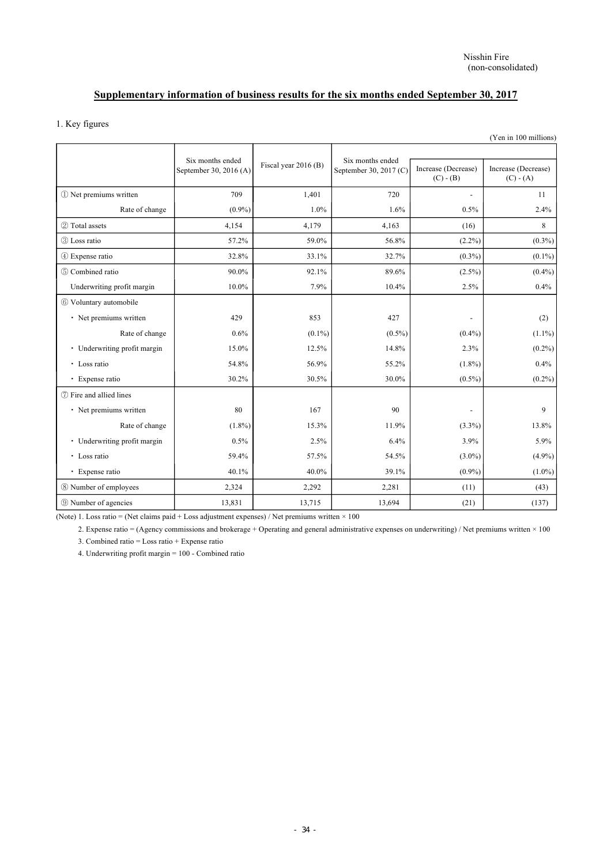# **Supplementary information of business results for the six months ended September 30, 2017**

### 1. Key figures

|                              |                                            |                      |                                            |                                    | (Yen in 100 millions)              |
|------------------------------|--------------------------------------------|----------------------|--------------------------------------------|------------------------------------|------------------------------------|
|                              | Six months ended<br>September 30, 2016 (A) | Fiscal year 2016 (B) | Six months ended<br>September 30, 2017 (C) | Increase (Decrease)<br>$(C) - (B)$ | Increase (Decrease)<br>$(C) - (A)$ |
| 1 Net premiums written       | 709                                        | 1,401                | 720                                        | $\overline{\phantom{a}}$           | 11                                 |
| Rate of change               | $(0.9\%)$                                  | 1.0%                 | 1.6%                                       | 0.5%                               | 2.4%                               |
| 2 Total assets               | 4,154                                      | 4,179                | 4,163                                      | (16)                               | 8                                  |
| 3 Loss ratio                 | 57.2%                                      | 59.0%                | 56.8%                                      | $(2.2\%)$                          | $(0.3\%)$                          |
| 4 Expense ratio              | 32.8%                                      | 33.1%                | 32.7%                                      | $(0.3\%)$                          | $(0.1\%)$                          |
| 5 Combined ratio             | 90.0%                                      | 92.1%                | 89.6%                                      | $(2.5\%)$                          | $(0.4\%)$                          |
| Underwriting profit margin   | 10.0%                                      | 7.9%                 | 10.4%                                      | 2.5%                               | 0.4%                               |
| 6 Voluntary automobile       |                                            |                      |                                            |                                    |                                    |
| • Net premiums written       | 429                                        | 853                  | 427                                        | $\overline{\phantom{a}}$           | (2)                                |
| Rate of change               | 0.6%                                       | $(0.1\%)$            | $(0.5\%)$                                  | $(0.4\%)$                          | $(1.1\%)$                          |
| • Underwriting profit margin | 15.0%                                      | 12.5%                | 14.8%                                      | 2.3%                               | $(0.2\%)$                          |
| • Loss ratio                 | 54.8%                                      | 56.9%                | 55.2%                                      | $(1.8\%)$                          | 0.4%                               |
| · Expense ratio              | 30.2%                                      | 30.5%                | 30.0%                                      | $(0.5\%)$                          | $(0.2\%)$                          |
| (7) Fire and allied lines    |                                            |                      |                                            |                                    |                                    |
| • Net premiums written       | 80                                         | 167                  | 90                                         |                                    | 9                                  |
| Rate of change               | $(1.8\%)$                                  | 15.3%                | 11.9%                                      | $(3.3\%)$                          | 13.8%                              |
| • Underwriting profit margin | 0.5%                                       | 2.5%                 | 6.4%                                       | 3.9%                               | 5.9%                               |
| • Loss ratio                 | 59.4%                                      | 57.5%                | 54.5%                                      | $(3.0\%)$                          | $(4.9\%)$                          |
| · Expense ratio              | 40.1%                                      | 40.0%                | 39.1%                                      | $(0.9\%)$                          | $(1.0\%)$                          |
| 8 Number of employees        | 2,324                                      | 2,292                | 2,281                                      | (11)                               | (43)                               |
| <b>9 Number of agencies</b>  | 13,831                                     | 13,715               | 13,694                                     | (21)                               | (137)                              |

(Note) 1. Loss ratio = (Net claims paid + Loss adjustment expenses) / Net premiums written  $\times$  100

2. Expense ratio = (Agency commissions and brokerage + Operating and general administrative expenses on underwriting) / Net premiums written × 100 3. Combined ratio = Loss ratio + Expense ratio

4. Underwriting profit margin = 100 - Combined ratio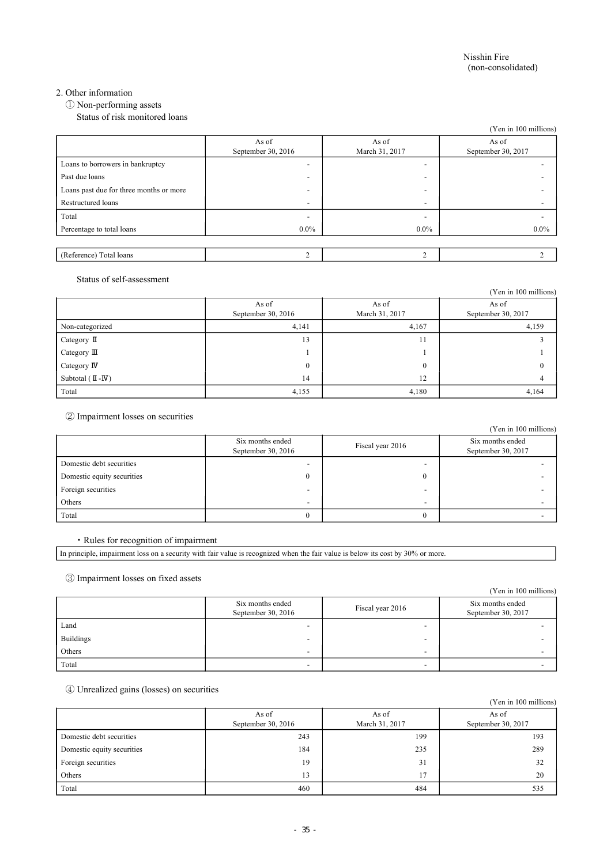### 2. Other information

① Non-performing assets

Status of risk monitored loans

|                                         |                          |                          | (Yen in 100 millions)    |
|-----------------------------------------|--------------------------|--------------------------|--------------------------|
|                                         | As of                    | As of                    | As of                    |
|                                         | September 30, $2016$     | March 31, 2017           | September 30, 2017       |
| Loans to borrowers in bankruptcy        | $\overline{\phantom{a}}$ | $\overline{\phantom{0}}$ | $\overline{\phantom{0}}$ |
| Past due loans                          | $\overline{\phantom{0}}$ | $\overline{\phantom{a}}$ |                          |
| Loans past due for three months or more | $\overline{\phantom{0}}$ | $\overline{\phantom{0}}$ |                          |
| Restructured loans                      | $\overline{\phantom{a}}$ | $\overline{\phantom{a}}$ |                          |
| Total                                   | $\overline{\phantom{a}}$ | $\overline{\phantom{0}}$ |                          |
| Percentage to total loans               | $0.0\%$                  | $0.0\%$                  | $0.0\%$                  |
|                                         |                          |                          |                          |
| (Reference) Total loans                 | $\mathcal{L}$            | $\sim$                   | $\mathcal{L}$            |

### Status of self-assessment

|                                      |                             |                         | (Yen in 100 millions)       |
|--------------------------------------|-----------------------------|-------------------------|-----------------------------|
|                                      | As of<br>September 30, 2016 | As of<br>March 31, 2017 | As of<br>September 30, 2017 |
| Non-categorized                      | 4,141                       | 4,167                   | 4,159                       |
| Category $\mathbb I$                 | 13                          | -1<br>11                |                             |
| Category III                         |                             |                         |                             |
| Category $\mathbb N$                 | $\mathbf{0}$                | $\theta$                |                             |
| Subtotal $(\mathbb{I} -\mathbb{I}V)$ | 14                          | 12                      |                             |
| Total                                | 4,155                       | 4,180                   | 4,164                       |

② Impairment losses on securities

|                            |                                          |                          | (Yen in 100 millions)                  |
|----------------------------|------------------------------------------|--------------------------|----------------------------------------|
|                            | Six months ended<br>September 30, $2016$ | Fiscal year 2016         | Six months ended<br>September 30, 2017 |
| Domestic debt securities   |                                          |                          |                                        |
| Domestic equity securities | 0                                        |                          |                                        |
| Foreign securities         |                                          |                          |                                        |
| Others                     | $\overline{\phantom{0}}$                 | $\overline{\phantom{0}}$ |                                        |
| Total                      |                                          |                          |                                        |

#### ・ Rules for recognition of impairment

In principle, impairment loss on a security with fair value is recognized when the fair value is below its cost by 30% or more.

### ③ Impairment losses on fixed assets

|                  |                                          |                          | (Yen in 100 millions)                  |
|------------------|------------------------------------------|--------------------------|----------------------------------------|
|                  | Six months ended<br>September 30, $2016$ | Fiscal year 2016         | Six months ended<br>September 30, 2017 |
| Land             |                                          |                          |                                        |
| <b>Buildings</b> | $\overline{\phantom{0}}$                 | ۰                        |                                        |
| Others           | $\overline{\phantom{0}}$                 | $\overline{\phantom{0}}$ |                                        |
| Total            | $\overline{\phantom{a}}$                 | -                        |                                        |

## ④ Unrealized gains (losses) on securities

|                            |                               |                         | (Yen in 100 millions)       |
|----------------------------|-------------------------------|-------------------------|-----------------------------|
|                            | As of<br>September 30, $2016$ | As of<br>March 31, 2017 | As of<br>September 30, 2017 |
| Domestic debt securities   | 243                           | 199                     | 193                         |
| Domestic equity securities | 184                           | 235                     | 289                         |
| Foreign securities         | 19                            | 31                      | 32                          |
| Others                     | 13                            | 17                      | 20                          |
| Total                      | 460                           | 484                     | 535                         |